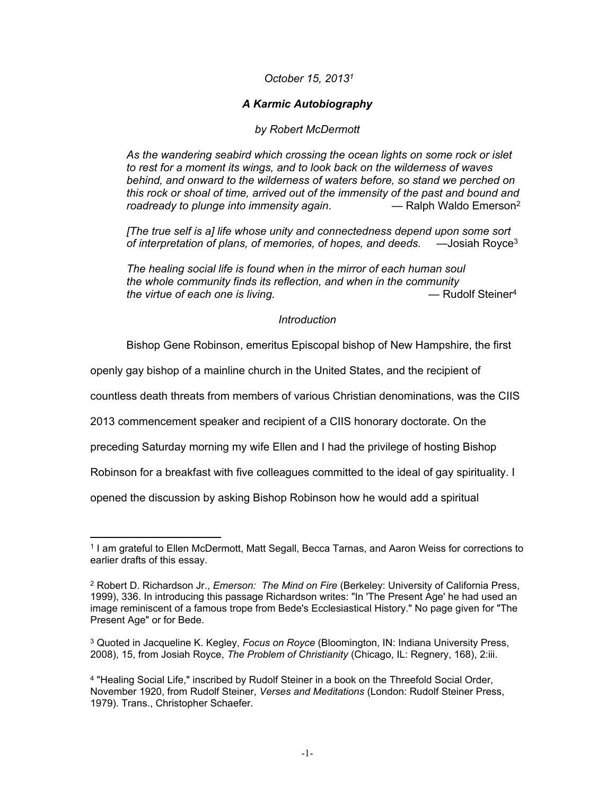# *October 15, 2013<sup>1</sup>*

# *A Karmic Autobiography*

## *by Robert McDermott*

*As the wandering seabird which crossing the ocean lights on some rock or islet to rest for a moment its wings, and to look back on the wilderness of waves behind, and onward to the wilderness of waters before, so stand we perched on this rock or shoal of time, arrived out of the immensity of the past and bound and roadready to plunge into immensity again.*  $\qquad \qquad -$  Ralph Waldo Emerson<sup>2</sup>

*[The true self is a] life whose unity and connectedness depend upon some sort of interpretation of plans, of memories, of hopes, and deeds.* —Josiah Royce<sup>3</sup>

*The healing social life is found when in the mirror of each human soul the whole community finds its reflection, and when in the community the virtue of each one is living. —* Rudolf Steiner<sup>4</sup>

### *Introduction*

Bishop Gene Robinson, emeritus Episcopal bishop of New Hampshire, the first

openly gay bishop of a mainline church in the United States, and the recipient of

countless death threats from members of various Christian denominations, was the CIIS

2013 commencement speaker and recipient of a CIIS honorary doctorate. On the

preceding Saturday morning my wife Ellen and I had the privilege of hosting Bishop

Robinson for a breakfast with five colleagues committed to the ideal of gay spirituality. I

opened the discussion by asking Bishop Robinson how he would add a spiritual

<sup>1</sup> I am grateful to Ellen McDermott, Matt Segall, Becca Tarnas, and Aaron Weiss for corrections to earlier drafts of this essay.

<sup>2</sup> Robert D. Richardson Jr., *Emerson: The Mind on Fire* (Berkeley: University of California Press, 1999), 336. In introducing this passage Richardson writes: "In 'The Present Age' he had used an image reminiscent of a famous trope from Bede's Ecclesiastical History." No page given for "The Present Age" or for Bede.

<sup>3</sup> Quoted in Jacqueline K. Kegley, *Focus on Royce* (Bloomington, IN: Indiana University Press, 2008), 15, from Josiah Royce, *The Problem of Christianity* (Chicago, IL: Regnery, 168), 2:iii.

<sup>4</sup> "Healing Social Life," inscribed by Rudolf Steiner in a book on the Threefold Social Order, November 1920, from Rudolf Steiner, *Verses and Meditations* (London: Rudolf Steiner Press, 1979). Trans., Christopher Schaefer.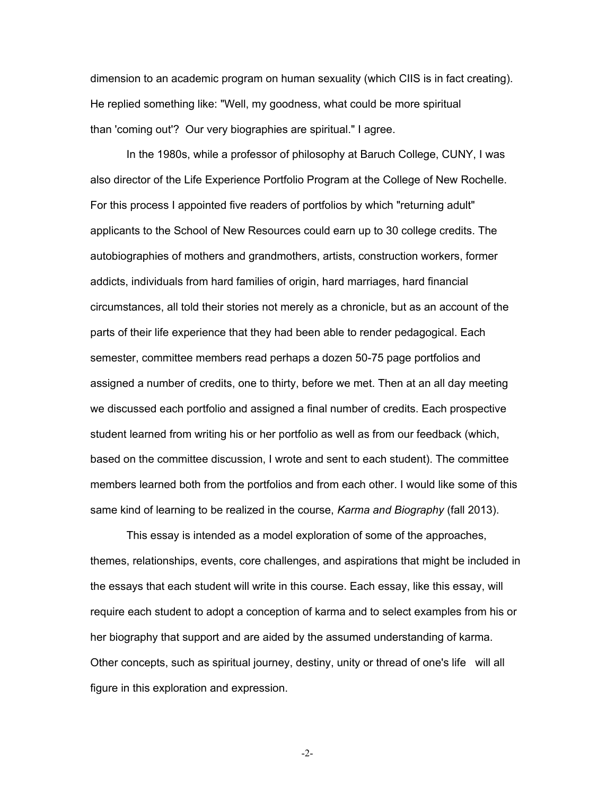dimension to an academic program on human sexuality (which CIIS is in fact creating). He replied something like: "Well, my goodness, what could be more spiritual than 'coming out'? Our very biographies are spiritual." I agree.

In the 1980s, while a professor of philosophy at Baruch College, CUNY, I was also director of the Life Experience Portfolio Program at the College of New Rochelle. For this process I appointed five readers of portfolios by which "returning adult" applicants to the School of New Resources could earn up to 30 college credits. The autobiographies of mothers and grandmothers, artists, construction workers, former addicts, individuals from hard families of origin, hard marriages, hard financial circumstances, all told their stories not merely as a chronicle, but as an account of the parts of their life experience that they had been able to render pedagogical. Each semester, committee members read perhaps a dozen 50-75 page portfolios and assigned a number of credits, one to thirty, before we met. Then at an all day meeting we discussed each portfolio and assigned a final number of credits. Each prospective student learned from writing his or her portfolio as well as from our feedback (which, based on the committee discussion, I wrote and sent to each student). The committee members learned both from the portfolios and from each other. I would like some of this same kind of learning to be realized in the course, *Karma and Biography* (fall 2013).

This essay is intended as a model exploration of some of the approaches, themes, relationships, events, core challenges, and aspirations that might be included in the essays that each student will write in this course. Each essay, like this essay, will require each student to adopt a conception of karma and to select examples from his or her biography that support and are aided by the assumed understanding of karma. Other concepts, such as spiritual journey, destiny, unity or thread of one's life will all figure in this exploration and expression.

-2-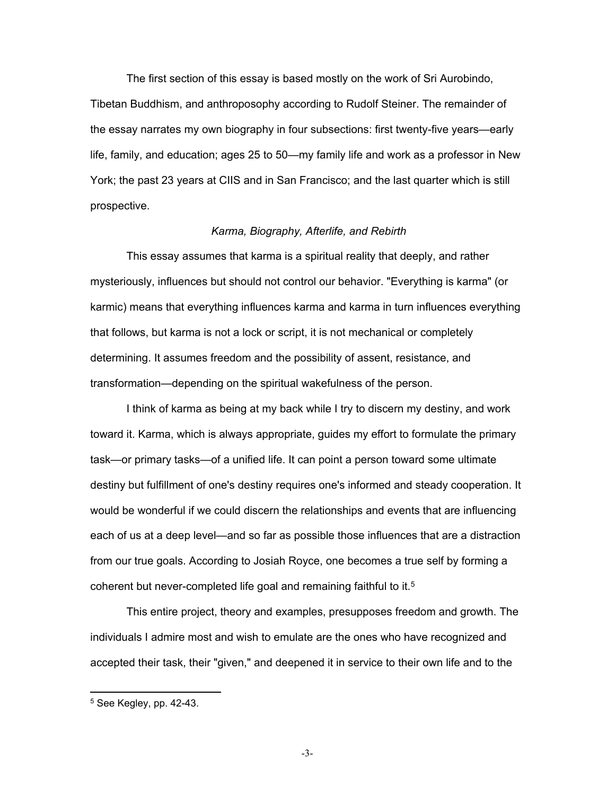The first section of this essay is based mostly on the work of Sri Aurobindo, Tibetan Buddhism, and anthroposophy according to Rudolf Steiner. The remainder of the essay narrates my own biography in four subsections: first twenty-five years—early life, family, and education; ages 25 to 50—my family life and work as a professor in New York; the past 23 years at CIIS and in San Francisco; and the last quarter which is still prospective.

#### *Karma, Biography, Afterlife, and Rebirth*

This essay assumes that karma is a spiritual reality that deeply, and rather mysteriously, influences but should not control our behavior. "Everything is karma" (or karmic) means that everything influences karma and karma in turn influences everything that follows, but karma is not a lock or script, it is not mechanical or completely determining. It assumes freedom and the possibility of assent, resistance, and transformation—depending on the spiritual wakefulness of the person.

I think of karma as being at my back while I try to discern my destiny, and work toward it. Karma, which is always appropriate, guides my effort to formulate the primary task—or primary tasks—of a unified life. It can point a person toward some ultimate destiny but fulfillment of one's destiny requires one's informed and steady cooperation. It would be wonderful if we could discern the relationships and events that are influencing each of us at a deep level—and so far as possible those influences that are a distraction from our true goals. According to Josiah Royce, one becomes a true self by forming a coherent but never-completed life goal and remaining faithful to it.<sup>5</sup>

This entire project, theory and examples, presupposes freedom and growth. The individuals I admire most and wish to emulate are the ones who have recognized and accepted their task, their "given," and deepened it in service to their own life and to the

-3-

<sup>5</sup> See Kegley, pp. 42-43.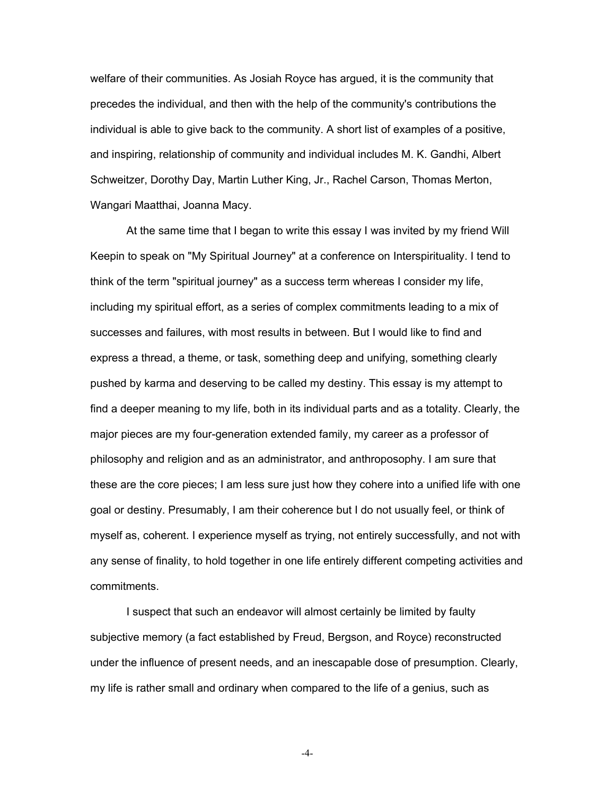welfare of their communities. As Josiah Royce has argued, it is the community that precedes the individual, and then with the help of the community's contributions the individual is able to give back to the community. A short list of examples of a positive, and inspiring, relationship of community and individual includes M. K. Gandhi, Albert Schweitzer, Dorothy Day, Martin Luther King, Jr., Rachel Carson, Thomas Merton, Wangari Maatthai, Joanna Macy.

At the same time that I began to write this essay I was invited by my friend Will Keepin to speak on "My Spiritual Journey" at a conference on Interspirituality. I tend to think of the term "spiritual journey" as a success term whereas I consider my life, including my spiritual effort, as a series of complex commitments leading to a mix of successes and failures, with most results in between. But I would like to find and express a thread, a theme, or task, something deep and unifying, something clearly pushed by karma and deserving to be called my destiny. This essay is my attempt to find a deeper meaning to my life, both in its individual parts and as a totality. Clearly, the major pieces are my four-generation extended family, my career as a professor of philosophy and religion and as an administrator, and anthroposophy. I am sure that these are the core pieces; I am less sure just how they cohere into a unified life with one goal or destiny. Presumably, I am their coherence but I do not usually feel, or think of myself as, coherent. I experience myself as trying, not entirely successfully, and not with any sense of finality, to hold together in one life entirely different competing activities and commitments.

I suspect that such an endeavor will almost certainly be limited by faulty subjective memory (a fact established by Freud, Bergson, and Royce) reconstructed under the influence of present needs, and an inescapable dose of presumption. Clearly, my life is rather small and ordinary when compared to the life of a genius, such as

-4-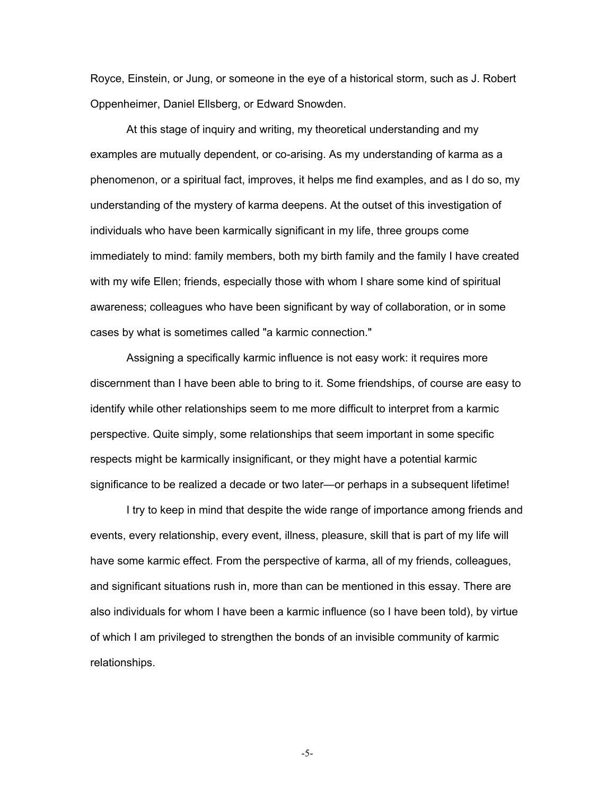Royce, Einstein, or Jung, or someone in the eye of a historical storm, such as J. Robert Oppenheimer, Daniel Ellsberg, or Edward Snowden.

At this stage of inquiry and writing, my theoretical understanding and my examples are mutually dependent, or co-arising. As my understanding of karma as a phenomenon, or a spiritual fact, improves, it helps me find examples, and as I do so, my understanding of the mystery of karma deepens. At the outset of this investigation of individuals who have been karmically significant in my life, three groups come immediately to mind: family members, both my birth family and the family I have created with my wife Ellen; friends, especially those with whom I share some kind of spiritual awareness; colleagues who have been significant by way of collaboration, or in some cases by what is sometimes called "a karmic connection."

Assigning a specifically karmic influence is not easy work: it requires more discernment than I have been able to bring to it. Some friendships, of course are easy to identify while other relationships seem to me more difficult to interpret from a karmic perspective. Quite simply, some relationships that seem important in some specific respects might be karmically insignificant, or they might have a potential karmic significance to be realized a decade or two later—or perhaps in a subsequent lifetime!

I try to keep in mind that despite the wide range of importance among friends and events, every relationship, every event, illness, pleasure, skill that is part of my life will have some karmic effect. From the perspective of karma, all of my friends, colleagues, and significant situations rush in, more than can be mentioned in this essay. There are also individuals for whom I have been a karmic influence (so I have been told), by virtue of which I am privileged to strengthen the bonds of an invisible community of karmic relationships.

-5-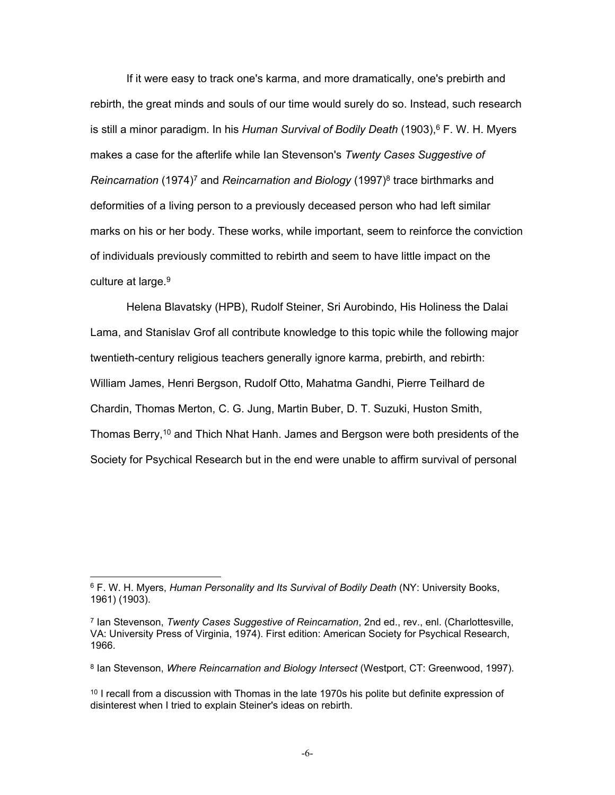If it were easy to track one's karma, and more dramatically, one's prebirth and rebirth, the great minds and souls of our time would surely do so. Instead, such research is still a minor paradigm. In his *Human Survival of Bodily Death* (1903),<sup>6</sup> F. W. H. Myers makes a case for the afterlife while Ian Stevenson's *Twenty Cases Suggestive of*  Reincarnation (1974)<sup>7</sup> and *Reincarnation and Biology* (1997)<sup>8</sup> trace birthmarks and deformities of a living person to a previously deceased person who had left similar marks on his or her body. These works, while important, seem to reinforce the conviction of individuals previously committed to rebirth and seem to have little impact on the culture at large.<sup>9</sup>

Helena Blavatsky (HPB), Rudolf Steiner, Sri Aurobindo, His Holiness the Dalai Lama, and Stanislav Grof all contribute knowledge to this topic while the following major twentieth-century religious teachers generally ignore karma, prebirth, and rebirth: William James, Henri Bergson, Rudolf Otto, Mahatma Gandhi, Pierre Teilhard de Chardin, Thomas Merton, C. G. Jung, Martin Buber, D. T. Suzuki, Huston Smith, Thomas Berry,<sup>10</sup> and Thich Nhat Hanh. James and Bergson were both presidents of the Society for Psychical Research but in the end were unable to affirm survival of personal

<sup>6</sup> F. W. H. Myers, *Human Personality and Its Survival of Bodily Death* (NY: University Books, 1961) (1903).

<sup>7</sup> Ian Stevenson, *Twenty Cases Suggestive of Reincarnation*, 2nd ed., rev., enl. (Charlottesville, VA: University Press of Virginia, 1974). First edition: American Society for Psychical Research, 1966.

<sup>8</sup> Ian Stevenson, *Where Reincarnation and Biology Intersect* (Westport, CT: Greenwood, 1997).

<sup>&</sup>lt;sup>10</sup> I recall from a discussion with Thomas in the late 1970s his polite but definite expression of disinterest when I tried to explain Steiner's ideas on rebirth.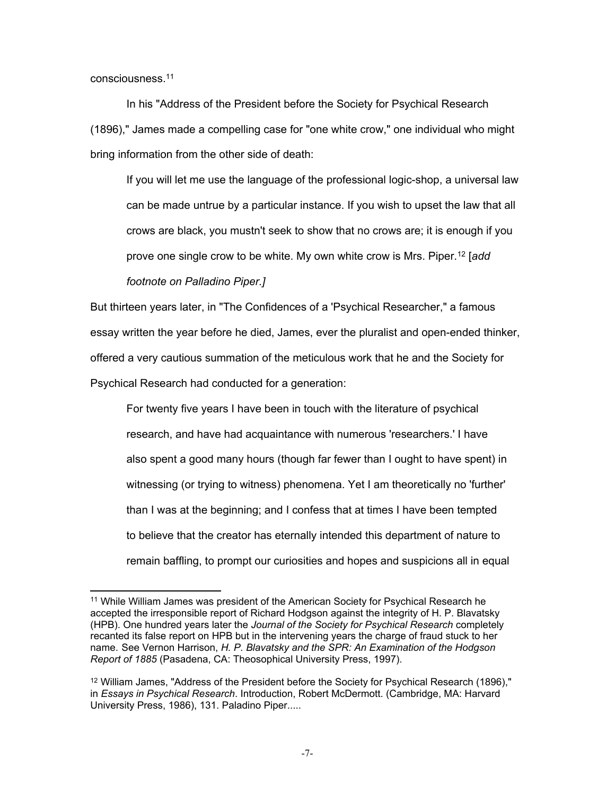consciousness.<sup>11</sup>

In his "Address of the President before the Society for Psychical Research (1896)," James made a compelling case for "one white crow," one individual who might bring information from the other side of death:

If you will let me use the language of the professional logic-shop, a universal law can be made untrue by a particular instance. If you wish to upset the law that all crows are black, you mustn't seek to show that no crows are; it is enough if you prove one single crow to be white. My own white crow is Mrs. Piper.<sup>12</sup> [*add* 

*footnote on Palladino Piper.]*

But thirteen years later, in "The Confidences of a 'Psychical Researcher," a famous essay written the year before he died, James, ever the pluralist and open-ended thinker, offered a very cautious summation of the meticulous work that he and the Society for Psychical Research had conducted for a generation:

For twenty five years I have been in touch with the literature of psychical research, and have had acquaintance with numerous 'researchers.' I have also spent a good many hours (though far fewer than I ought to have spent) in witnessing (or trying to witness) phenomena. Yet I am theoretically no 'further' than I was at the beginning; and I confess that at times I have been tempted to believe that the creator has eternally intended this department of nature to remain baffling, to prompt our curiosities and hopes and suspicions all in equal

<sup>&</sup>lt;sup>11</sup> While William James was president of the American Society for Psychical Research he accepted the irresponsible report of Richard Hodgson against the integrity of H. P. Blavatsky (HPB). One hundred years later the *Journal of the Society for Psychical Research* completely recanted its false report on HPB but in the intervening years the charge of fraud stuck to her name. See Vernon Harrison, *H. P. Blavatsky and the SPR: An Examination of the Hodgson Report of 1885* (Pasadena, CA: Theosophical University Press, 1997).

<sup>12</sup> William James, "Address of the President before the Society for Psychical Research (1896)," in *Essays in Psychical Research*. Introduction, Robert McDermott. (Cambridge, MA: Harvard University Press, 1986), 131. Paladino Piper.....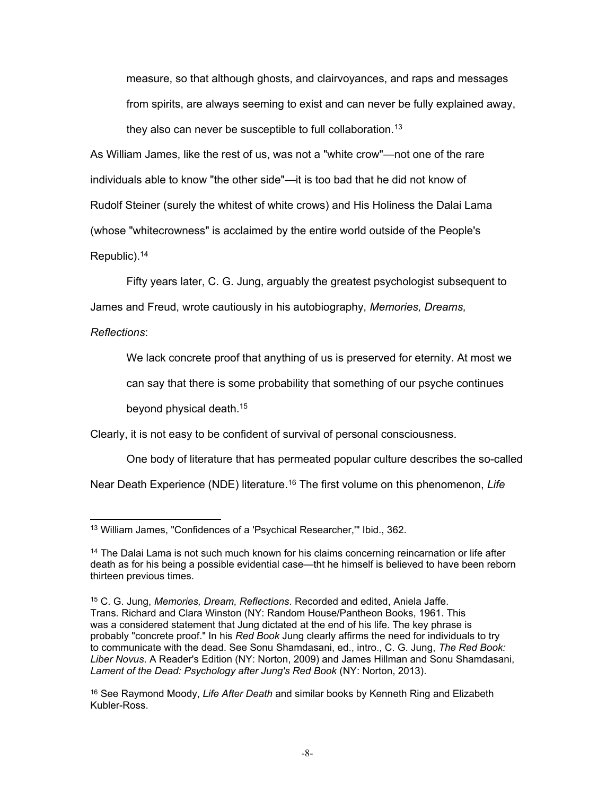measure, so that although ghosts, and clairvoyances, and raps and messages from spirits, are always seeming to exist and can never be fully explained away, they also can never be susceptible to full collaboration.<sup>13</sup>

As William James, like the rest of us, was not a "white crow"—not one of the rare individuals able to know "the other side"—it is too bad that he did not know of Rudolf Steiner (surely the whitest of white crows) and His Holiness the Dalai Lama (whose "whitecrowness" is acclaimed by the entire world outside of the People's Republic).<sup>14</sup>

Fifty years later, C. G. Jung, arguably the greatest psychologist subsequent to James and Freud, wrote cautiously in his autobiography, *Memories, Dreams,* 

*Reflections*:

We lack concrete proof that anything of us is preserved for eternity. At most we

can say that there is some probability that something of our psyche continues

beyond physical death.<sup>15</sup>

Clearly, it is not easy to be confident of survival of personal consciousness.

One body of literature that has permeated popular culture describes the so-called

Near Death Experience (NDE) literature.<sup>16</sup> The first volume on this phenomenon, Life

<sup>13</sup> William James, "Confidences of a 'Psychical Researcher,'" Ibid., 362.

<sup>14</sup> The Dalai Lama is not such much known for his claims concerning reincarnation or life after death as for his being a possible evidential case—tht he himself is believed to have been reborn thirteen previous times.

<sup>15</sup> C. G. Jung, *Memories, Dream, Reflections*. Recorded and edited, Aniela Jaffe. Trans. Richard and Clara Winston (NY: Random House/Pantheon Books, 1961. This was a considered statement that Jung dictated at the end of his life. The key phrase is probably "concrete proof." In his *Red Book* Jung clearly affirms the need for individuals to try to communicate with the dead. See Sonu Shamdasani, ed., intro., C. G. Jung, *The Red Book: Liber Novus*. A Reader's Edition (NY: Norton, 2009) and James Hillman and Sonu Shamdasani, *Lament of the Dead: Psychology after Jung's Red Book* (NY: Norton, 2013).

<sup>16</sup> See Raymond Moody, *Life After Death* and similar books by Kenneth Ring and Elizabeth Kubler-Ross.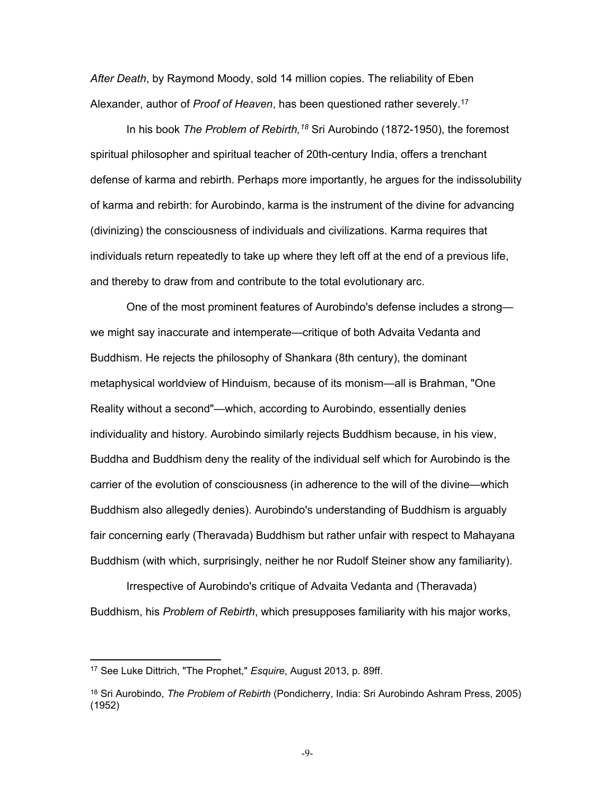*After Death*, by Raymond Moody, sold 14 million copies. The reliability of Eben Alexander, author of *Proof of Heaven*, has been questioned rather severely.<sup>17</sup>

In his book *The Problem of Rebirth,<sup>18</sup>* Sri Aurobindo (1872-1950), the foremost spiritual philosopher and spiritual teacher of 20th-century India, offers a trenchant defense of karma and rebirth. Perhaps more importantly, he argues for the indissolubility of karma and rebirth: for Aurobindo, karma is the instrument of the divine for advancing (divinizing) the consciousness of individuals and civilizations. Karma requires that individuals return repeatedly to take up where they left off at the end of a previous life, and thereby to draw from and contribute to the total evolutionary arc.

One of the most prominent features of Aurobindo's defense includes a strong we might say inaccurate and intemperate—critique of both Advaita Vedanta and Buddhism. He rejects the philosophy of Shankara (8th century), the dominant metaphysical worldview of Hinduism, because of its monism—all is Brahman, "One Reality without a second"—which, according to Aurobindo, essentially denies individuality and history. Aurobindo similarly rejects Buddhism because, in his view, Buddha and Buddhism deny the reality of the individual self which for Aurobindo is the carrier of the evolution of consciousness (in adherence to the will of the divine—which Buddhism also allegedly denies). Aurobindo's understanding of Buddhism is arguably fair concerning early (Theravada) Buddhism but rather unfair with respect to Mahayana Buddhism (with which, surprisingly, neither he nor Rudolf Steiner show any familiarity).

Irrespective of Aurobindo's critique of Advaita Vedanta and (Theravada) Buddhism, his *Problem of Rebirth*, which presupposes familiarity with his major works,

-9-

<sup>17</sup> See Luke Dittrich, "The Prophet," *Esquire*, August 2013, p. 89ff.

<sup>18</sup> Sri Aurobindo, *The Problem of Rebirth* (Pondicherry, India: Sri Aurobindo Ashram Press, 2005) (1952)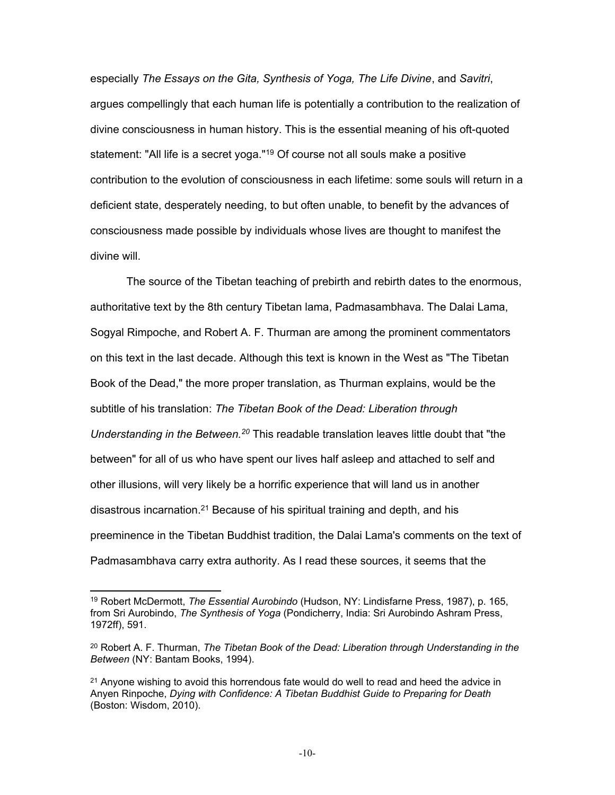especially *The Essays on the Gita, Synthesis of Yoga, The Life Divine*, and *Savitri*, argues compellingly that each human life is potentially a contribution to the realization of divine consciousness in human history. This is the essential meaning of his oft-quoted statement: "All life is a secret yoga."<sup>19</sup> Of course not all souls make a positive contribution to the evolution of consciousness in each lifetime: some souls will return in a deficient state, desperately needing, to but often unable, to benefit by the advances of consciousness made possible by individuals whose lives are thought to manifest the divine will.

The source of the Tibetan teaching of prebirth and rebirth dates to the enormous, authoritative text by the 8th century Tibetan lama, Padmasambhava. The Dalai Lama, Sogyal Rimpoche, and Robert A. F. Thurman are among the prominent commentators on this text in the last decade. Although this text is known in the West as "The Tibetan Book of the Dead," the more proper translation, as Thurman explains, would be the subtitle of his translation: *The Tibetan Book of the Dead: Liberation through*  Understanding in the Between.<sup>20</sup> This readable translation leaves little doubt that "the between" for all of us who have spent our lives half asleep and attached to self and other illusions, will very likely be a horrific experience that will land us in another disastrous incarnation.<sup>21</sup> Because of his spiritual training and depth, and his preeminence in the Tibetan Buddhist tradition, the Dalai Lama's comments on the text of Padmasambhava carry extra authority. As I read these sources, it seems that the

<sup>19</sup> Robert McDermott, *The Essential Aurobindo* (Hudson, NY: Lindisfarne Press, 1987), p. 165, from Sri Aurobindo, *The Synthesis of Yoga* (Pondicherry, India: Sri Aurobindo Ashram Press, 1972ff), 591.

<sup>&</sup>lt;sup>20</sup> Robert A. F. Thurman, *The Tibetan Book of the Dead: Liberation through Understanding in the Between* (NY: Bantam Books, 1994).

<sup>&</sup>lt;sup>21</sup> Anyone wishing to avoid this horrendous fate would do well to read and heed the advice in Anyen Rinpoche, *Dying with Confidence: A Tibetan Buddhist Guide to Preparing for Death*  (Boston: Wisdom, 2010).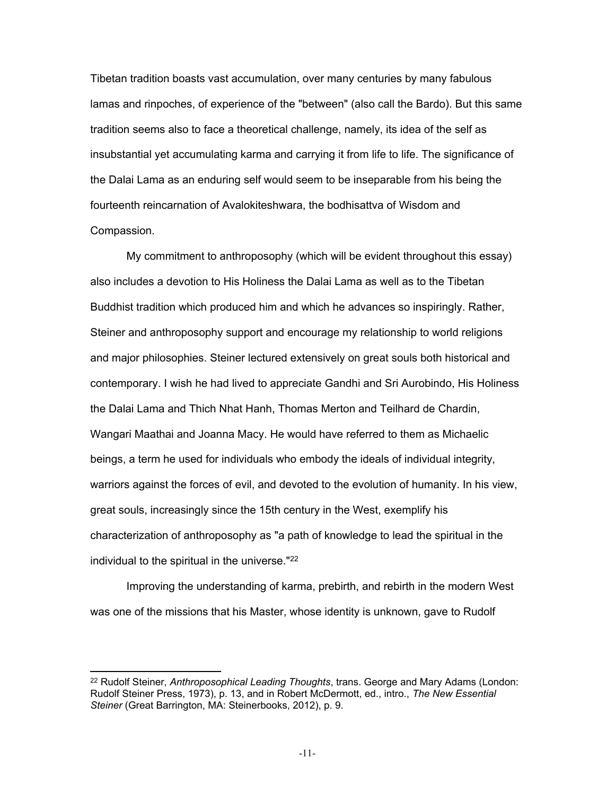Tibetan tradition boasts vast accumulation, over many centuries by many fabulous lamas and rinpoches, of experience of the "between" (also call the Bardo). But this same tradition seems also to face a theoretical challenge, namely, its idea of the self as insubstantial yet accumulating karma and carrying it from life to life. The significance of the Dalai Lama as an enduring self would seem to be inseparable from his being the fourteenth reincarnation of Avalokiteshwara, the bodhisattva of Wisdom and Compassion.

My commitment to anthroposophy (which will be evident throughout this essay) also includes a devotion to His Holiness the Dalai Lama as well as to the Tibetan Buddhist tradition which produced him and which he advances so inspiringly. Rather, Steiner and anthroposophy support and encourage my relationship to world religions and major philosophies. Steiner lectured extensively on great souls both historical and contemporary. I wish he had lived to appreciate Gandhi and Sri Aurobindo, His Holiness the Dalai Lama and Thich Nhat Hanh, Thomas Merton and Teilhard de Chardin, Wangari Maathai and Joanna Macy. He would have referred to them as Michaelic beings, a term he used for individuals who embody the ideals of individual integrity, warriors against the forces of evil, and devoted to the evolution of humanity. In his view, great souls, increasingly since the 15th century in the West, exemplify his characterization of anthroposophy as "a path of knowledge to lead the spiritual in the individual to the spiritual in the universe."<sup>22</sup>

Improving the understanding of karma, prebirth, and rebirth in the modern West was one of the missions that his Master, whose identity is unknown, gave to Rudolf

<sup>22</sup> Rudolf Steiner, *Anthroposophical Leading Thoughts*, trans. George and Mary Adams (London: Rudolf Steiner Press, 1973), p. 13, and in Robert McDermott, ed., intro., *The New Essential Steiner* (Great Barrington, MA: Steinerbooks, 2012), p. 9.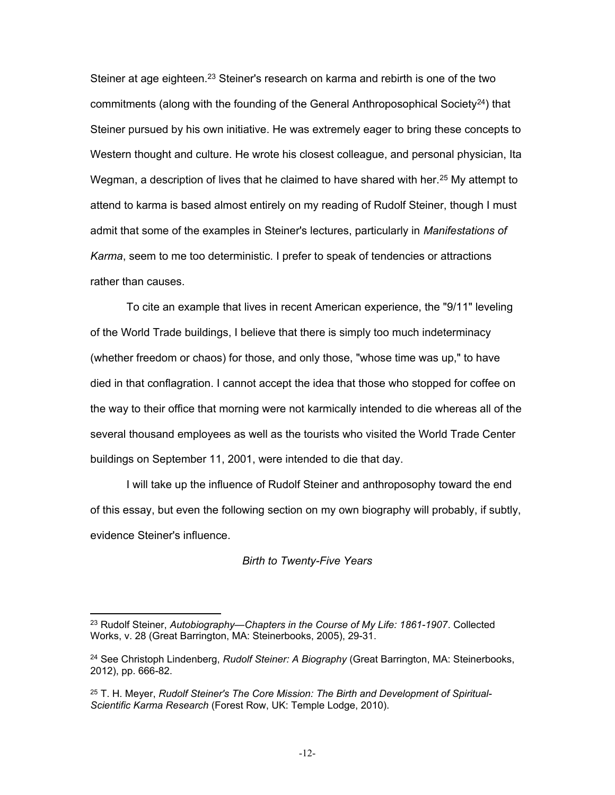Steiner at age eighteen.<sup>23</sup> Steiner's research on karma and rebirth is one of the two commitments (along with the founding of the General Anthroposophical Society<sup>24</sup>) that Steiner pursued by his own initiative. He was extremely eager to bring these concepts to Western thought and culture. He wrote his closest colleague, and personal physician, Ita Wegman, a description of lives that he claimed to have shared with her.<sup>25</sup> My attempt to attend to karma is based almost entirely on my reading of Rudolf Steiner, though I must admit that some of the examples in Steiner's lectures, particularly in *Manifestations of Karma*, seem to me too deterministic. I prefer to speak of tendencies or attractions rather than causes.

To cite an example that lives in recent American experience, the "9/11" leveling of the World Trade buildings, I believe that there is simply too much indeterminacy (whether freedom or chaos) for those, and only those, "whose time was up," to have died in that conflagration. I cannot accept the idea that those who stopped for coffee on the way to their office that morning were not karmically intended to die whereas all of the several thousand employees as well as the tourists who visited the World Trade Center buildings on September 11, 2001, were intended to die that day.

I will take up the influence of Rudolf Steiner and anthroposophy toward the end of this essay, but even the following section on my own biography will probably, if subtly, evidence Steiner's influence.

#### *Birth to Twenty-Five Years*

<sup>23</sup> Rudolf Steiner, *Autobiography—Chapters in the Course of My Life: 1861-1907*. Collected Works, v. 28 (Great Barrington, MA: Steinerbooks, 2005), 29-31.

<sup>24</sup> See Christoph Lindenberg, *Rudolf Steiner: A Biography* (Great Barrington, MA: Steinerbooks, 2012), pp. 666-82.

<sup>25</sup> T. H. Meyer, *Rudolf Steiner's The Core Mission: The Birth and Development of Spiritual-Scientific Karma Research* (Forest Row, UK: Temple Lodge, 2010).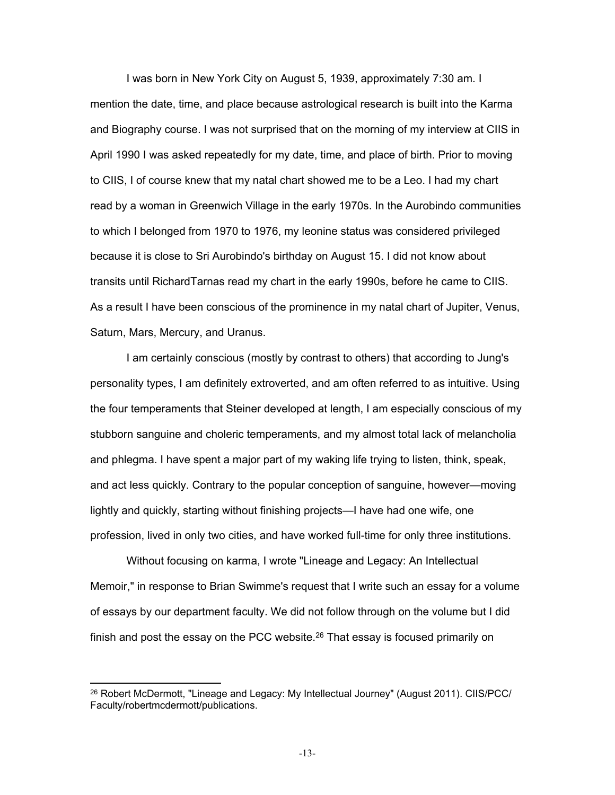I was born in New York City on August 5, 1939, approximately 7:30 am. I mention the date, time, and place because astrological research is built into the Karma and Biography course. I was not surprised that on the morning of my interview at CIIS in April 1990 I was asked repeatedly for my date, time, and place of birth. Prior to moving to CIIS, I of course knew that my natal chart showed me to be a Leo. I had my chart read by a woman in Greenwich Village in the early 1970s. In the Aurobindo communities to which I belonged from 1970 to 1976, my leonine status was considered privileged because it is close to Sri Aurobindo's birthday on August 15. I did not know about transits until RichardTarnas read my chart in the early 1990s, before he came to CIIS. As a result I have been conscious of the prominence in my natal chart of Jupiter, Venus, Saturn, Mars, Mercury, and Uranus.

I am certainly conscious (mostly by contrast to others) that according to Jung's personality types, I am definitely extroverted, and am often referred to as intuitive. Using the four temperaments that Steiner developed at length, I am especially conscious of my stubborn sanguine and choleric temperaments, and my almost total lack of melancholia and phlegma. I have spent a major part of my waking life trying to listen, think, speak, and act less quickly. Contrary to the popular conception of sanguine, however—moving lightly and quickly, starting without finishing projects—I have had one wife, one profession, lived in only two cities, and have worked full-time for only three institutions.

Without focusing on karma, I wrote "Lineage and Legacy: An Intellectual Memoir," in response to Brian Swimme's request that I write such an essay for a volume of essays by our department faculty. We did not follow through on the volume but I did finish and post the essay on the PCC website.<sup>26</sup> That essay is focused primarily on

<sup>&</sup>lt;sup>26</sup> Robert McDermott, "Lineage and Legacy: My Intellectual Journey" (August 2011). CIIS/PCC/ Faculty/robertmcdermott/publications.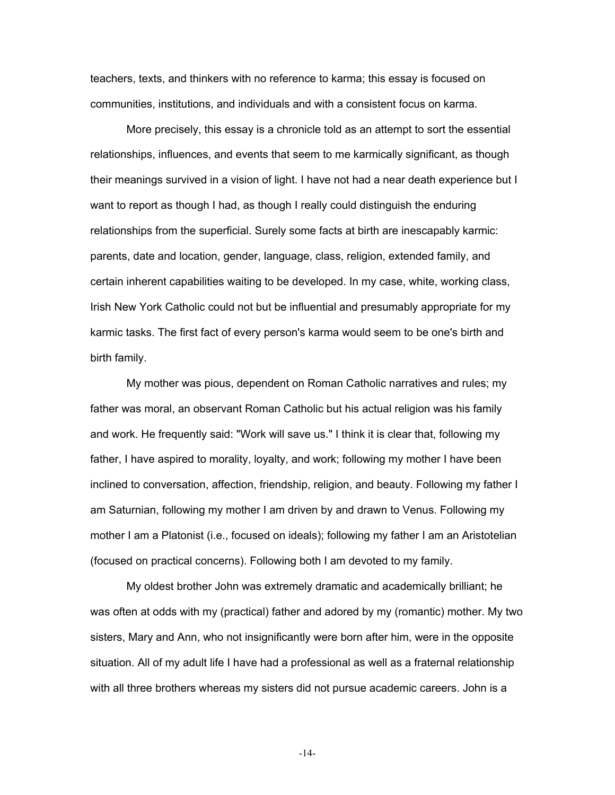teachers, texts, and thinkers with no reference to karma; this essay is focused on communities, institutions, and individuals and with a consistent focus on karma.

More precisely, this essay is a chronicle told as an attempt to sort the essential relationships, influences, and events that seem to me karmically significant, as though their meanings survived in a vision of light. I have not had a near death experience but I want to report as though I had, as though I really could distinguish the enduring relationships from the superficial. Surely some facts at birth are inescapably karmic: parents, date and location, gender, language, class, religion, extended family, and certain inherent capabilities waiting to be developed. In my case, white, working class, Irish New York Catholic could not but be influential and presumably appropriate for my karmic tasks. The first fact of every person's karma would seem to be one's birth and birth family.

My mother was pious, dependent on Roman Catholic narratives and rules; my father was moral, an observant Roman Catholic but his actual religion was his family and work. He frequently said: "Work will save us." I think it is clear that, following my father, I have aspired to morality, loyalty, and work; following my mother I have been inclined to conversation, affection, friendship, religion, and beauty. Following my father I am Saturnian, following my mother I am driven by and drawn to Venus. Following my mother I am a Platonist (i.e., focused on ideals); following my father I am an Aristotelian (focused on practical concerns). Following both I am devoted to my family.

My oldest brother John was extremely dramatic and academically brilliant; he was often at odds with my (practical) father and adored by my (romantic) mother. My two sisters, Mary and Ann, who not insignificantly were born after him, were in the opposite situation. All of my adult life I have had a professional as well as a fraternal relationship with all three brothers whereas my sisters did not pursue academic careers. John is a

-14-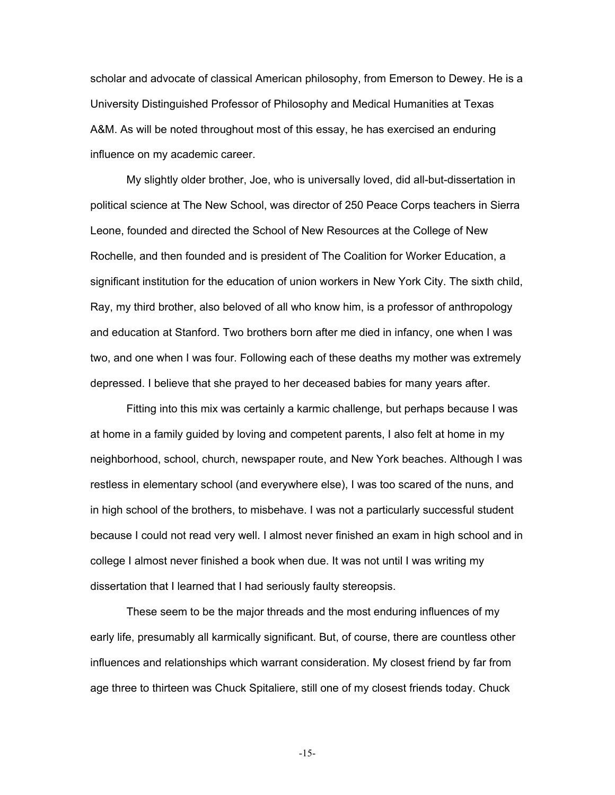scholar and advocate of classical American philosophy, from Emerson to Dewey. He is a University Distinguished Professor of Philosophy and Medical Humanities at Texas A&M. As will be noted throughout most of this essay, he has exercised an enduring influence on my academic career.

My slightly older brother, Joe, who is universally loved, did all-but-dissertation in political science at The New School, was director of 250 Peace Corps teachers in Sierra Leone, founded and directed the School of New Resources at the College of New Rochelle, and then founded and is president of The Coalition for Worker Education, a significant institution for the education of union workers in New York City. The sixth child, Ray, my third brother, also beloved of all who know him, is a professor of anthropology and education at Stanford. Two brothers born after me died in infancy, one when I was two, and one when I was four. Following each of these deaths my mother was extremely depressed. I believe that she prayed to her deceased babies for many years after.

Fitting into this mix was certainly a karmic challenge, but perhaps because I was at home in a family guided by loving and competent parents, I also felt at home in my neighborhood, school, church, newspaper route, and New York beaches. Although I was restless in elementary school (and everywhere else), I was too scared of the nuns, and in high school of the brothers, to misbehave. I was not a particularly successful student because I could not read very well. I almost never finished an exam in high school and in college I almost never finished a book when due. It was not until I was writing my dissertation that I learned that I had seriously faulty stereopsis.

These seem to be the major threads and the most enduring influences of my early life, presumably all karmically significant. But, of course, there are countless other influences and relationships which warrant consideration. My closest friend by far from age three to thirteen was Chuck Spitaliere, still one of my closest friends today. Chuck

-15-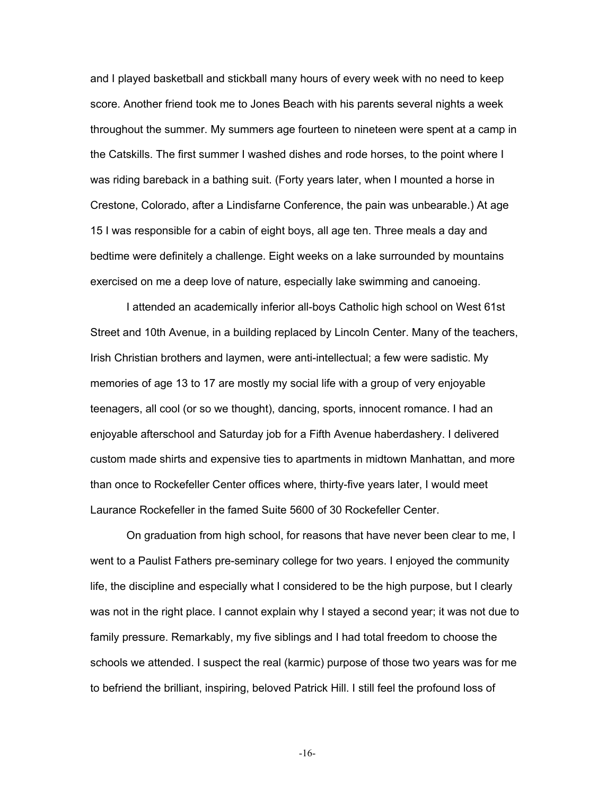and I played basketball and stickball many hours of every week with no need to keep score. Another friend took me to Jones Beach with his parents several nights a week throughout the summer. My summers age fourteen to nineteen were spent at a camp in the Catskills. The first summer I washed dishes and rode horses, to the point where I was riding bareback in a bathing suit. (Forty years later, when I mounted a horse in Crestone, Colorado, after a Lindisfarne Conference, the pain was unbearable.) At age 15 I was responsible for a cabin of eight boys, all age ten. Three meals a day and bedtime were definitely a challenge. Eight weeks on a lake surrounded by mountains exercised on me a deep love of nature, especially lake swimming and canoeing.

I attended an academically inferior all-boys Catholic high school on West 61st Street and 10th Avenue, in a building replaced by Lincoln Center. Many of the teachers, Irish Christian brothers and laymen, were anti-intellectual; a few were sadistic. My memories of age 13 to 17 are mostly my social life with a group of very enjoyable teenagers, all cool (or so we thought), dancing, sports, innocent romance. I had an enjoyable afterschool and Saturday job for a Fifth Avenue haberdashery. I delivered custom made shirts and expensive ties to apartments in midtown Manhattan, and more than once to Rockefeller Center offices where, thirty-five years later, I would meet Laurance Rockefeller in the famed Suite 5600 of 30 Rockefeller Center.

On graduation from high school, for reasons that have never been clear to me, I went to a Paulist Fathers pre-seminary college for two years. I enjoyed the community life, the discipline and especially what I considered to be the high purpose, but I clearly was not in the right place. I cannot explain why I stayed a second year; it was not due to family pressure. Remarkably, my five siblings and I had total freedom to choose the schools we attended. I suspect the real (karmic) purpose of those two years was for me to befriend the brilliant, inspiring, beloved Patrick Hill. I still feel the profound loss of

-16-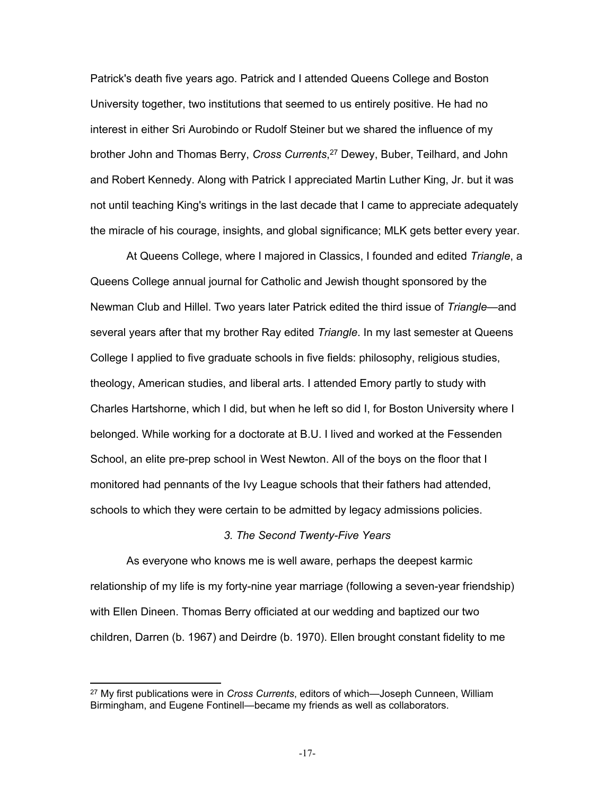Patrick's death five years ago. Patrick and I attended Queens College and Boston University together, two institutions that seemed to us entirely positive. He had no interest in either Sri Aurobindo or Rudolf Steiner but we shared the influence of my brother John and Thomas Berry, *Cross Currents*, 27 Dewey, Buber, Teilhard, and John and Robert Kennedy. Along with Patrick I appreciated Martin Luther King, Jr. but it was not until teaching King's writings in the last decade that I came to appreciate adequately the miracle of his courage, insights, and global significance; MLK gets better every year.

At Queens College, where I majored in Classics, I founded and edited *Triangle*, a Queens College annual journal for Catholic and Jewish thought sponsored by the Newman Club and Hillel. Two years later Patrick edited the third issue of *Triangle*—and several years after that my brother Ray edited *Triangle*. In my last semester at Queens College I applied to five graduate schools in five fields: philosophy, religious studies, theology, American studies, and liberal arts. I attended Emory partly to study with Charles Hartshorne, which I did, but when he left so did I, for Boston University where I belonged. While working for a doctorate at B.U. I lived and worked at the Fessenden School, an elite pre-prep school in West Newton. All of the boys on the floor that I monitored had pennants of the Ivy League schools that their fathers had attended, schools to which they were certain to be admitted by legacy admissions policies.

# *3. The Second Twenty-Five Years*

As everyone who knows me is well aware, perhaps the deepest karmic relationship of my life is my forty-nine year marriage (following a seven-year friendship) with Ellen Dineen. Thomas Berry officiated at our wedding and baptized our two children, Darren (b. 1967) and Deirdre (b. 1970). Ellen brought constant fidelity to me

<sup>27</sup> My first publications were in *Cross Currents*, editors of which—Joseph Cunneen, William Birmingham, and Eugene Fontinell—became my friends as well as collaborators.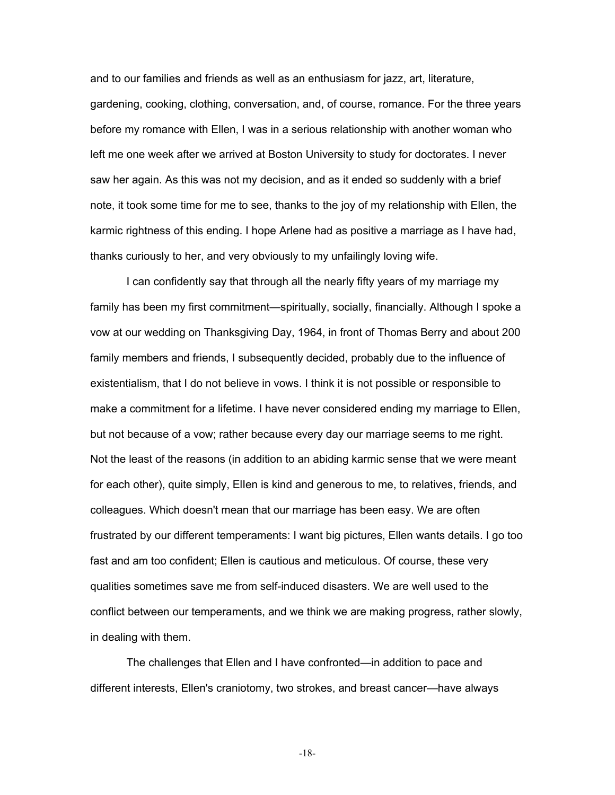and to our families and friends as well as an enthusiasm for jazz, art, literature, gardening, cooking, clothing, conversation, and, of course, romance. For the three years before my romance with Ellen, I was in a serious relationship with another woman who left me one week after we arrived at Boston University to study for doctorates. I never saw her again. As this was not my decision, and as it ended so suddenly with a brief note, it took some time for me to see, thanks to the joy of my relationship with Ellen, the karmic rightness of this ending. I hope Arlene had as positive a marriage as I have had, thanks curiously to her, and very obviously to my unfailingly loving wife.

I can confidently say that through all the nearly fifty years of my marriage my family has been my first commitment—spiritually, socially, financially. Although I spoke a vow at our wedding on Thanksgiving Day, 1964, in front of Thomas Berry and about 200 family members and friends, I subsequently decided, probably due to the influence of existentialism, that I do not believe in vows. I think it is not possible or responsible to make a commitment for a lifetime. I have never considered ending my marriage to Ellen, but not because of a vow; rather because every day our marriage seems to me right. Not the least of the reasons (in addition to an abiding karmic sense that we were meant for each other), quite simply, ElIen is kind and generous to me, to relatives, friends, and colleagues. Which doesn't mean that our marriage has been easy. We are often frustrated by our different temperaments: I want big pictures, Ellen wants details. I go too fast and am too confident; Ellen is cautious and meticulous. Of course, these very qualities sometimes save me from self-induced disasters. We are well used to the conflict between our temperaments, and we think we are making progress, rather slowly, in dealing with them.

The challenges that Ellen and I have confronted—in addition to pace and different interests, Ellen's craniotomy, two strokes, and breast cancer—have always

-18-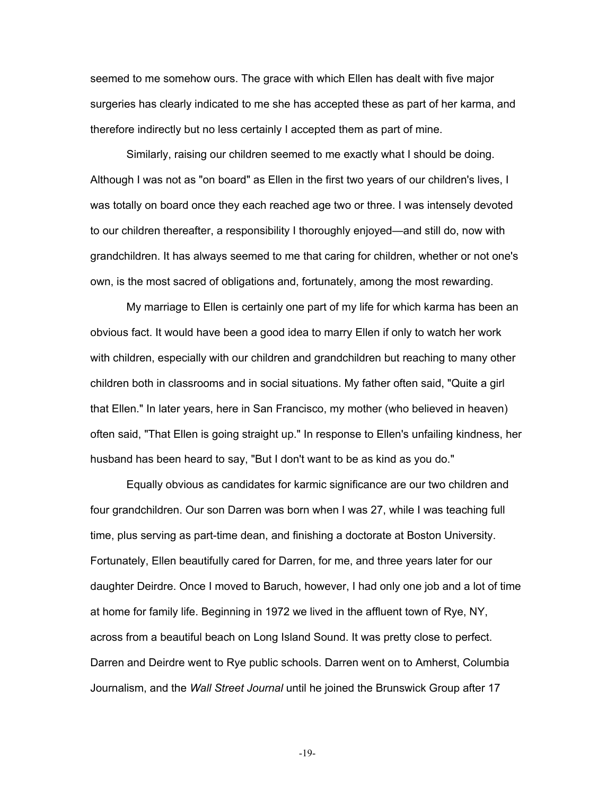seemed to me somehow ours. The grace with which Ellen has dealt with five major surgeries has clearly indicated to me she has accepted these as part of her karma, and therefore indirectly but no less certainly I accepted them as part of mine.

Similarly, raising our children seemed to me exactly what I should be doing. Although I was not as "on board" as Ellen in the first two years of our children's lives, I was totally on board once they each reached age two or three. I was intensely devoted to our children thereafter, a responsibility I thoroughly enjoyed—and still do, now with grandchildren. It has always seemed to me that caring for children, whether or not one's own, is the most sacred of obligations and, fortunately, among the most rewarding.

My marriage to Ellen is certainly one part of my life for which karma has been an obvious fact. It would have been a good idea to marry Ellen if only to watch her work with children, especially with our children and grandchildren but reaching to many other children both in classrooms and in social situations. My father often said, "Quite a girl that Ellen." In later years, here in San Francisco, my mother (who believed in heaven) often said, "That Ellen is going straight up." In response to Ellen's unfailing kindness, her husband has been heard to say, "But I don't want to be as kind as you do."

Equally obvious as candidates for karmic significance are our two children and four grandchildren. Our son Darren was born when I was 27, while I was teaching full time, plus serving as part-time dean, and finishing a doctorate at Boston University. Fortunately, Ellen beautifully cared for Darren, for me, and three years later for our daughter Deirdre. Once I moved to Baruch, however, I had only one job and a lot of time at home for family life. Beginning in 1972 we lived in the affluent town of Rye, NY, across from a beautiful beach on Long Island Sound. It was pretty close to perfect. Darren and Deirdre went to Rye public schools. Darren went on to Amherst, Columbia Journalism, and the *Wall Street Journal* until he joined the Brunswick Group after 17

-19-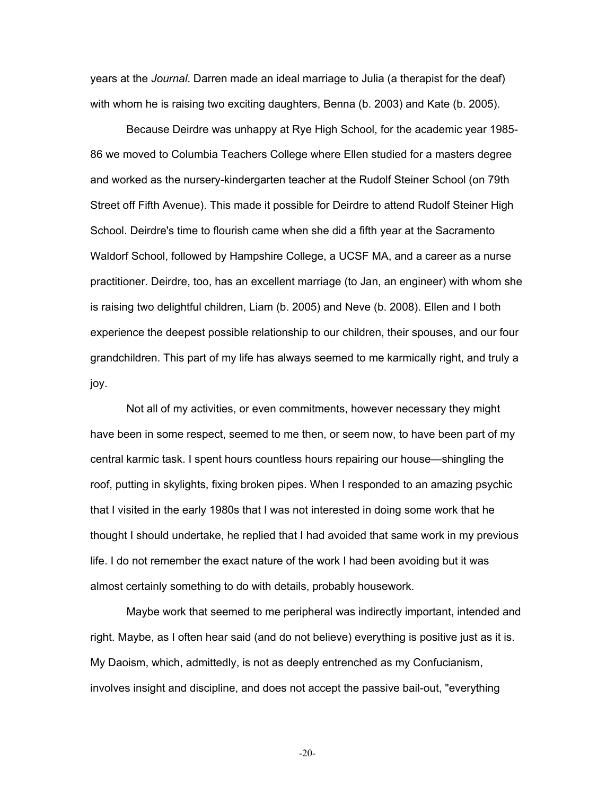years at the *Journal*. Darren made an ideal marriage to Julia (a therapist for the deaf) with whom he is raising two exciting daughters, Benna (b. 2003) and Kate (b. 2005).

Because Deirdre was unhappy at Rye High School, for the academic year 1985- 86 we moved to Columbia Teachers College where Ellen studied for a masters degree and worked as the nursery-kindergarten teacher at the Rudolf Steiner School (on 79th Street off Fifth Avenue). This made it possible for Deirdre to attend Rudolf Steiner High School. Deirdre's time to flourish came when she did a fifth year at the Sacramento Waldorf School, followed by Hampshire College, a UCSF MA, and a career as a nurse practitioner. Deirdre, too, has an excellent marriage (to Jan, an engineer) with whom she is raising two delightful children, Liam (b. 2005) and Neve (b. 2008). Ellen and I both experience the deepest possible relationship to our children, their spouses, and our four grandchildren. This part of my life has always seemed to me karmically right, and truly a joy.

Not all of my activities, or even commitments, however necessary they might have been in some respect, seemed to me then, or seem now, to have been part of my central karmic task. I spent hours countless hours repairing our house—shingling the roof, putting in skylights, fixing broken pipes. When I responded to an amazing psychic that I visited in the early 1980s that I was not interested in doing some work that he thought I should undertake, he replied that I had avoided that same work in my previous life. I do not remember the exact nature of the work I had been avoiding but it was almost certainly something to do with details, probably housework.

Maybe work that seemed to me peripheral was indirectly important, intended and right. Maybe, as I often hear said (and do not believe) everything is positive just as it is. My Daoism, which, admittedly, is not as deeply entrenched as my Confucianism, involves insight and discipline, and does not accept the passive bail-out, "everything

-20-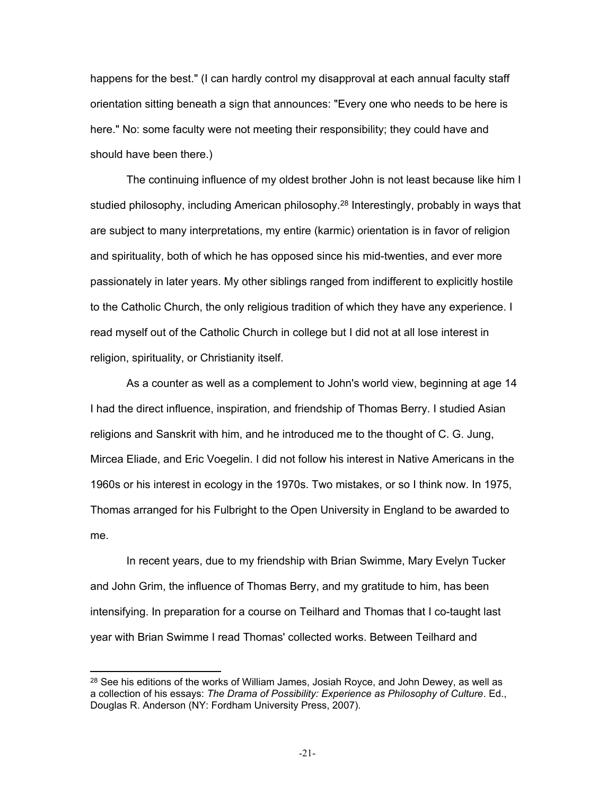happens for the best." (I can hardly control my disapproval at each annual faculty staff orientation sitting beneath a sign that announces: "Every one who needs to be here is here." No: some faculty were not meeting their responsibility; they could have and should have been there.)

The continuing influence of my oldest brother John is not least because like him I studied philosophy, including American philosophy.<sup>28</sup> Interestingly, probably in ways that are subject to many interpretations, my entire (karmic) orientation is in favor of religion and spirituality, both of which he has opposed since his mid-twenties, and ever more passionately in later years. My other siblings ranged from indifferent to explicitly hostile to the Catholic Church, the only religious tradition of which they have any experience. I read myself out of the Catholic Church in college but I did not at all lose interest in religion, spirituality, or Christianity itself.

As a counter as well as a complement to John's world view, beginning at age 14 I had the direct influence, inspiration, and friendship of Thomas Berry. I studied Asian religions and Sanskrit with him, and he introduced me to the thought of C. G. Jung, Mircea Eliade, and Eric Voegelin. I did not follow his interest in Native Americans in the 1960s or his interest in ecology in the 1970s. Two mistakes, or so I think now. In 1975, Thomas arranged for his Fulbright to the Open University in England to be awarded to me.

In recent years, due to my friendship with Brian Swimme, Mary Evelyn Tucker and John Grim, the influence of Thomas Berry, and my gratitude to him, has been intensifying. In preparation for a course on Teilhard and Thomas that I co-taught last year with Brian Swimme I read Thomas' collected works. Between Teilhard and

<sup>&</sup>lt;sup>28</sup> See his editions of the works of William James, Josiah Royce, and John Dewey, as well as a collection of his essays: *The Drama of Possibility: Experience as Philosophy of Culture*. Ed., Douglas R. Anderson (NY: Fordham University Press, 2007).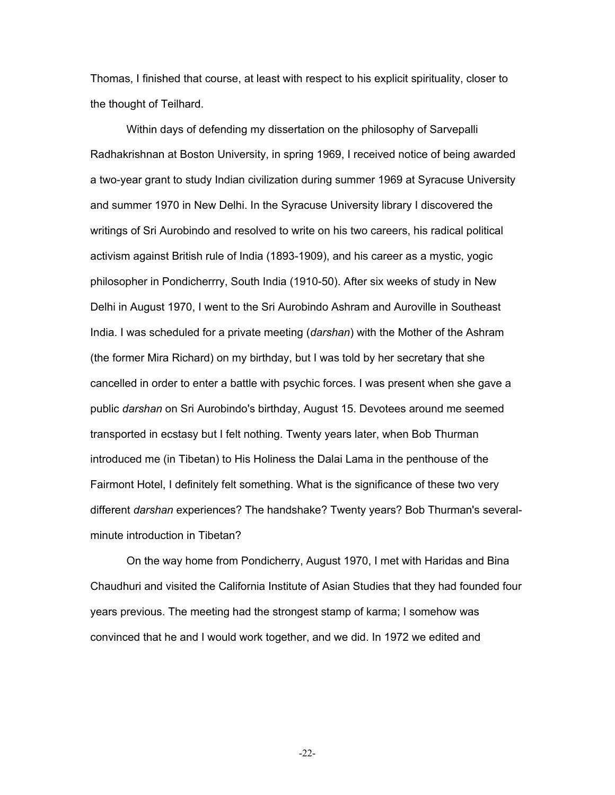Thomas, I finished that course, at least with respect to his explicit spirituality, closer to the thought of Teilhard.

Within days of defending my dissertation on the philosophy of Sarvepalli Radhakrishnan at Boston University, in spring 1969, I received notice of being awarded a two-year grant to study Indian civilization during summer 1969 at Syracuse University and summer 1970 in New Delhi. In the Syracuse University library I discovered the writings of Sri Aurobindo and resolved to write on his two careers, his radical political activism against British rule of India (1893-1909), and his career as a mystic, yogic philosopher in Pondicherrry, South India (1910-50). After six weeks of study in New Delhi in August 1970, I went to the Sri Aurobindo Ashram and Auroville in Southeast India. I was scheduled for a private meeting (*darshan*) with the Mother of the Ashram (the former Mira Richard) on my birthday, but I was told by her secretary that she cancelled in order to enter a battle with psychic forces. I was present when she gave a public *darshan* on Sri Aurobindo's birthday, August 15. Devotees around me seemed transported in ecstasy but I felt nothing. Twenty years later, when Bob Thurman introduced me (in Tibetan) to His Holiness the Dalai Lama in the penthouse of the Fairmont Hotel, I definitely felt something. What is the significance of these two very different *darshan* experiences? The handshake? Twenty years? Bob Thurman's severalminute introduction in Tibetan?

On the way home from Pondicherry, August 1970, I met with Haridas and Bina Chaudhuri and visited the California Institute of Asian Studies that they had founded four years previous. The meeting had the strongest stamp of karma; I somehow was convinced that he and I would work together, and we did. In 1972 we edited and

-22-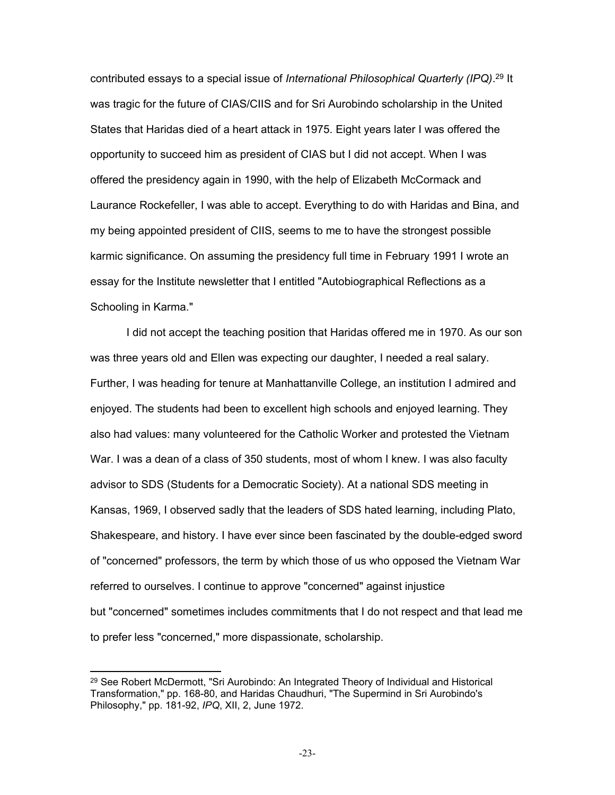contributed essays to a special issue of *International Philosophical Quarterly (IPQ)*. 29 It was tragic for the future of CIAS/CIIS and for Sri Aurobindo scholarship in the United States that Haridas died of a heart attack in 1975. Eight years later I was offered the opportunity to succeed him as president of CIAS but I did not accept. When I was offered the presidency again in 1990, with the help of Elizabeth McCormack and Laurance Rockefeller, I was able to accept. Everything to do with Haridas and Bina, and my being appointed president of CIIS, seems to me to have the strongest possible karmic significance. On assuming the presidency full time in February 1991 I wrote an essay for the Institute newsletter that I entitled "Autobiographical Reflections as a Schooling in Karma."

I did not accept the teaching position that Haridas offered me in 1970. As our son was three years old and Ellen was expecting our daughter, I needed a real salary. Further, I was heading for tenure at Manhattanville College, an institution I admired and enjoyed. The students had been to excellent high schools and enjoyed learning. They also had values: many volunteered for the Catholic Worker and protested the Vietnam War. I was a dean of a class of 350 students, most of whom I knew. I was also faculty advisor to SDS (Students for a Democratic Society). At a national SDS meeting in Kansas, 1969, I observed sadly that the leaders of SDS hated learning, including Plato, Shakespeare, and history. I have ever since been fascinated by the double-edged sword of "concerned" professors, the term by which those of us who opposed the Vietnam War referred to ourselves. I continue to approve "concerned" against injustice but "concerned" sometimes includes commitments that I do not respect and that lead me to prefer less "concerned," more dispassionate, scholarship.

<sup>&</sup>lt;sup>29</sup> See Robert McDermott, "Sri Aurobindo: An Integrated Theory of Individual and Historical Transformation," pp. 168-80, and Haridas Chaudhuri, "The Supermind in Sri Aurobindo's Philosophy," pp. 181-92, *IPQ*, XII, 2, June 1972.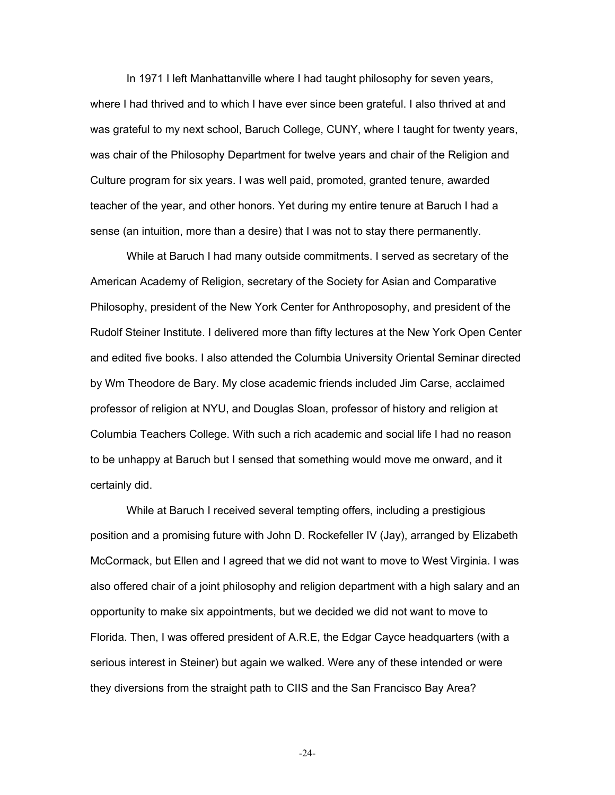In 1971 I left Manhattanville where I had taught philosophy for seven years, where I had thrived and to which I have ever since been grateful. I also thrived at and was grateful to my next school, Baruch College, CUNY, where I taught for twenty years, was chair of the Philosophy Department for twelve years and chair of the Religion and Culture program for six years. I was well paid, promoted, granted tenure, awarded teacher of the year, and other honors. Yet during my entire tenure at Baruch I had a sense (an intuition, more than a desire) that I was not to stay there permanently.

While at Baruch I had many outside commitments. I served as secretary of the American Academy of Religion, secretary of the Society for Asian and Comparative Philosophy, president of the New York Center for Anthroposophy, and president of the Rudolf Steiner Institute. I delivered more than fifty lectures at the New York Open Center and edited five books. I also attended the Columbia University Oriental Seminar directed by Wm Theodore de Bary. My close academic friends included Jim Carse, acclaimed professor of religion at NYU, and Douglas Sloan, professor of history and religion at Columbia Teachers College. With such a rich academic and social life I had no reason to be unhappy at Baruch but I sensed that something would move me onward, and it certainly did.

While at Baruch I received several tempting offers, including a prestigious position and a promising future with John D. Rockefeller IV (Jay), arranged by Elizabeth McCormack, but Ellen and I agreed that we did not want to move to West Virginia. I was also offered chair of a joint philosophy and religion department with a high salary and an opportunity to make six appointments, but we decided we did not want to move to Florida. Then, I was offered president of A.R.E, the Edgar Cayce headquarters (with a serious interest in Steiner) but again we walked. Were any of these intended or were they diversions from the straight path to CIIS and the San Francisco Bay Area?

-24-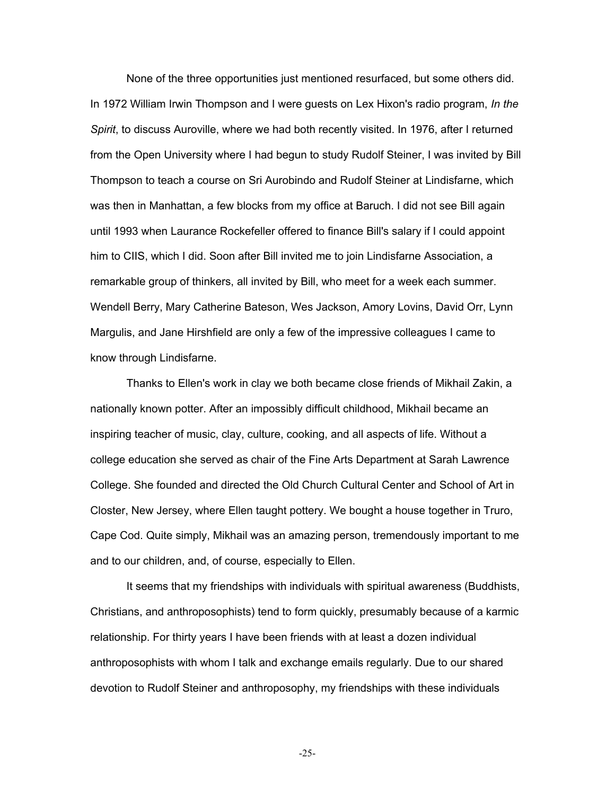None of the three opportunities just mentioned resurfaced, but some others did. In 1972 William Irwin Thompson and I were guests on Lex Hixon's radio program, *In the Spirit*, to discuss Auroville, where we had both recently visited. In 1976, after I returned from the Open University where I had begun to study Rudolf Steiner, I was invited by Bill Thompson to teach a course on Sri Aurobindo and Rudolf Steiner at Lindisfarne, which was then in Manhattan, a few blocks from my office at Baruch. I did not see Bill again until 1993 when Laurance Rockefeller offered to finance Bill's salary if I could appoint him to CIIS, which I did. Soon after Bill invited me to join Lindisfarne Association, a remarkable group of thinkers, all invited by Bill, who meet for a week each summer. Wendell Berry, Mary Catherine Bateson, Wes Jackson, Amory Lovins, David Orr, Lynn Margulis, and Jane Hirshfield are only a few of the impressive colleagues I came to know through Lindisfarne.

Thanks to Ellen's work in clay we both became close friends of Mikhail Zakin, a nationally known potter. After an impossibly difficult childhood, Mikhail became an inspiring teacher of music, clay, culture, cooking, and all aspects of life. Without a college education she served as chair of the Fine Arts Department at Sarah Lawrence College. She founded and directed the Old Church Cultural Center and School of Art in Closter, New Jersey, where Ellen taught pottery. We bought a house together in Truro, Cape Cod. Quite simply, Mikhail was an amazing person, tremendously important to me and to our children, and, of course, especially to Ellen.

It seems that my friendships with individuals with spiritual awareness (Buddhists, Christians, and anthroposophists) tend to form quickly, presumably because of a karmic relationship. For thirty years I have been friends with at least a dozen individual anthroposophists with whom I talk and exchange emails regularly. Due to our shared devotion to Rudolf Steiner and anthroposophy, my friendships with these individuals

-25-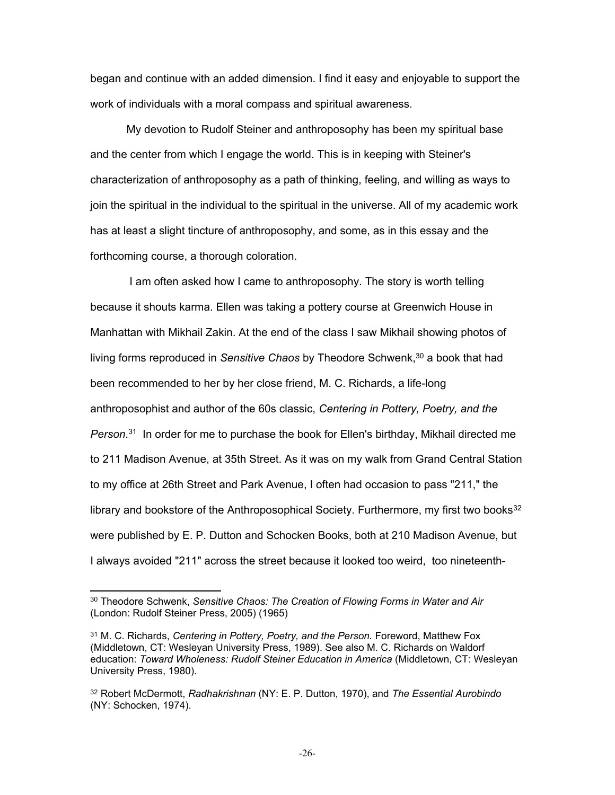began and continue with an added dimension. I find it easy and enjoyable to support the work of individuals with a moral compass and spiritual awareness.

My devotion to Rudolf Steiner and anthroposophy has been my spiritual base and the center from which I engage the world. This is in keeping with Steiner's characterization of anthroposophy as a path of thinking, feeling, and willing as ways to join the spiritual in the individual to the spiritual in the universe. All of my academic work has at least a slight tincture of anthroposophy, and some, as in this essay and the forthcoming course, a thorough coloration.

 I am often asked how I came to anthroposophy. The story is worth telling because it shouts karma. Ellen was taking a pottery course at Greenwich House in Manhattan with Mikhail Zakin. At the end of the class I saw Mikhail showing photos of living forms reproduced in Sensitive Chaos by Theodore Schwenk,<sup>30</sup> a book that had been recommended to her by her close friend, M. C. Richards, a life-long anthroposophist and author of the 60s classic, *Centering in Pottery, Poetry, and the*  Person.<sup>31</sup> In order for me to purchase the book for Ellen's birthday, Mikhail directed me to 211 Madison Avenue, at 35th Street. As it was on my walk from Grand Central Station to my office at 26th Street and Park Avenue, I often had occasion to pass "211," the library and bookstore of the Anthroposophical Society. Furthermore, my first two books $32$ were published by E. P. Dutton and Schocken Books, both at 210 Madison Avenue, but I always avoided "211" across the street because it looked too weird, too nineteenth-

<sup>30</sup> Theodore Schwenk, *Sensitive Chaos: The Creation of Flowing Forms in Water and Air*  (London: Rudolf Steiner Press, 2005) (1965)

<sup>&</sup>lt;sup>31</sup> M. C. Richards, *Centering in Pottery, Poetry, and the Person.* Foreword, Matthew Fox (Middletown, CT: Wesleyan University Press, 1989). See also M. C. Richards on Waldorf education: *Toward Wholeness: Rudolf Steiner Education in America* (Middletown, CT: Wesleyan University Press, 1980).

<sup>32</sup> Robert McDermott, *Radhakrishnan* (NY: E. P. Dutton, 1970), and *The Essential Aurobindo*  (NY: Schocken, 1974).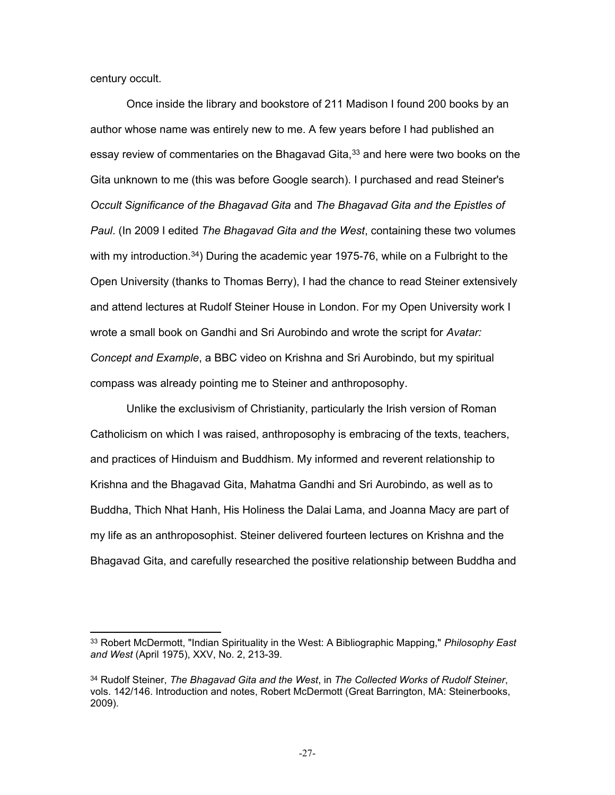century occult.

Once inside the library and bookstore of 211 Madison I found 200 books by an author whose name was entirely new to me. A few years before I had published an essay review of commentaries on the Bhagavad Gita,<sup>33</sup> and here were two books on the Gita unknown to me (this was before Google search). I purchased and read Steiner's *Occult Significance of the Bhagavad Gita* and *The Bhagavad Gita and the Epistles of Paul*. (In 2009 I edited *The Bhagavad Gita and the West*, containing these two volumes with my introduction.<sup>34</sup>) During the academic year 1975-76, while on a Fulbright to the Open University (thanks to Thomas Berry), I had the chance to read Steiner extensively and attend lectures at Rudolf Steiner House in London. For my Open University work I wrote a small book on Gandhi and Sri Aurobindo and wrote the script for *Avatar: Concept and Example*, a BBC video on Krishna and Sri Aurobindo, but my spiritual compass was already pointing me to Steiner and anthroposophy.

Unlike the exclusivism of Christianity, particularly the Irish version of Roman Catholicism on which I was raised, anthroposophy is embracing of the texts, teachers, and practices of Hinduism and Buddhism. My informed and reverent relationship to Krishna and the Bhagavad Gita, Mahatma Gandhi and Sri Aurobindo, as well as to Buddha, Thich Nhat Hanh, His Holiness the Dalai Lama, and Joanna Macy are part of my life as an anthroposophist. Steiner delivered fourteen lectures on Krishna and the Bhagavad Gita, and carefully researched the positive relationship between Buddha and

<sup>33</sup> Robert McDermott, "Indian Spirituality in the West: A Bibliographic Mapping," *Philosophy East and West* (April 1975), XXV, No. 2, 213-39.

<sup>34</sup> Rudolf Steiner, *The Bhagavad Gita and the West*, in *The Collected Works of Rudolf Steiner*, vols. 142/146. Introduction and notes, Robert McDermott (Great Barrington, MA: Steinerbooks, 2009).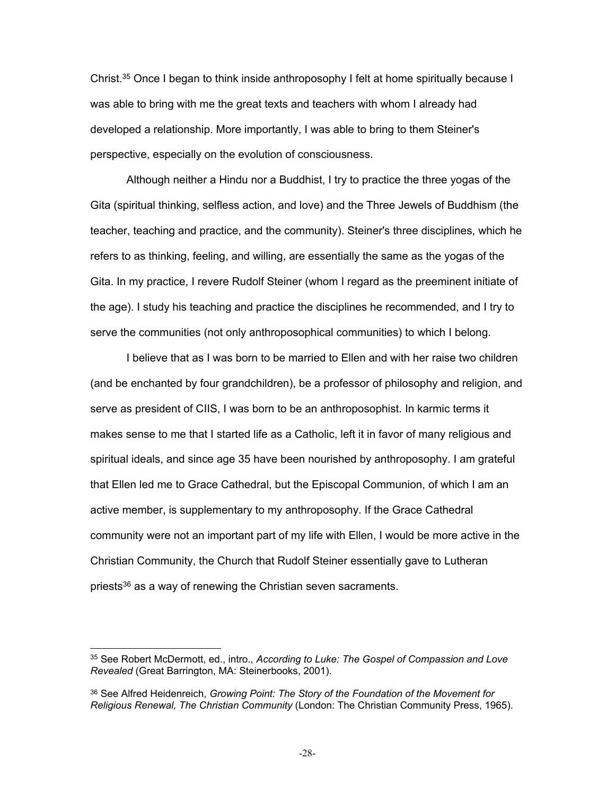Christ.<sup>35</sup> Once I began to think inside anthroposophy I felt at home spiritually because I was able to bring with me the great texts and teachers with whom I already had developed a relationship. More importantly, I was able to bring to them Steiner's perspective, especially on the evolution of consciousness.

Although neither a Hindu nor a Buddhist, I try to practice the three yogas of the Gita (spiritual thinking, selfless action, and love) and the Three Jewels of Buddhism (the teacher, teaching and practice, and the community). Steiner's three disciplines, which he refers to as thinking, feeling, and willing, are essentially the same as the yogas of the Gita. In my practice, I revere Rudolf Steiner (whom I regard as the preeminent initiate of the age). I study his teaching and practice the disciplines he recommended, and I try to serve the communities (not only anthroposophical communities) to which I belong.

I believe that as I was born to be married to Ellen and with her raise two children (and be enchanted by four grandchildren), be a professor of philosophy and religion, and serve as president of CIIS, I was born to be an anthroposophist. In karmic terms it makes sense to me that I started life as a Catholic, left it in favor of many religious and spiritual ideals, and since age 35 have been nourished by anthroposophy. I am grateful that Ellen led me to Grace Cathedral, but the Episcopal Communion, of which I am an active member, is supplementary to my anthroposophy. If the Grace Cathedral community were not an important part of my life with Ellen, I would be more active in the Christian Community, the Church that Rudolf Steiner essentially gave to Lutheran priests<sup>36</sup> as a way of renewing the Christian seven sacraments.

<sup>35</sup> See Robert McDermott, ed., intro., *According to Luke: The Gospel of Compassion and Love Revealed* (Great Barrington, MA: Steinerbooks, 2001).

<sup>36</sup> See Alfred Heidenreich, *Growing Point: The Story of the Foundation of the Movement for Religious Renewal, The Christian Community* (London: The Christian Community Press, 1965).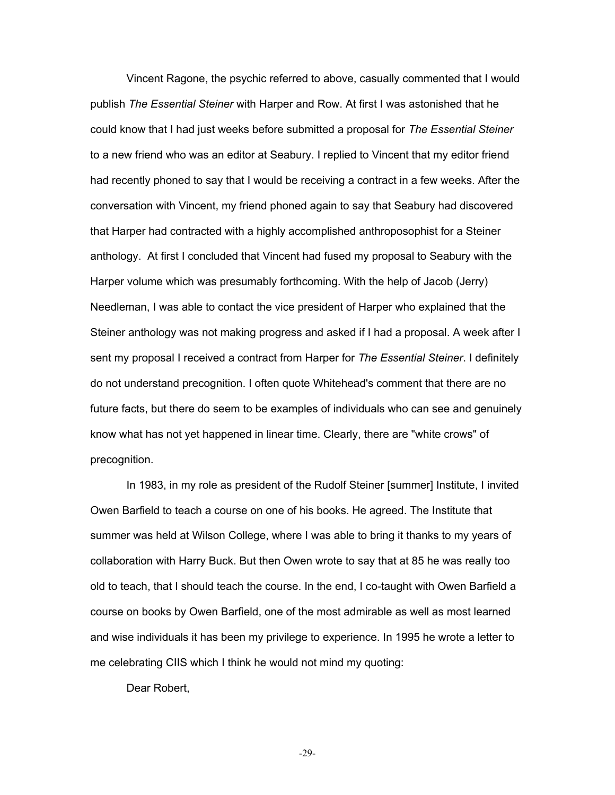Vincent Ragone, the psychic referred to above, casually commented that I would publish *The Essential Steiner* with Harper and Row. At first I was astonished that he could know that I had just weeks before submitted a proposal for *The Essential Steiner* to a new friend who was an editor at Seabury. I replied to Vincent that my editor friend had recently phoned to say that I would be receiving a contract in a few weeks. After the conversation with Vincent, my friend phoned again to say that Seabury had discovered that Harper had contracted with a highly accomplished anthroposophist for a Steiner anthology. At first I concluded that Vincent had fused my proposal to Seabury with the Harper volume which was presumably forthcoming. With the help of Jacob (Jerry) Needleman, I was able to contact the vice president of Harper who explained that the Steiner anthology was not making progress and asked if I had a proposal. A week after I sent my proposal I received a contract from Harper for *The Essential Steiner*. I definitely do not understand precognition. I often quote Whitehead's comment that there are no future facts, but there do seem to be examples of individuals who can see and genuinely know what has not yet happened in linear time. Clearly, there are "white crows" of precognition.

In 1983, in my role as president of the Rudolf Steiner [summer] Institute, I invited Owen Barfield to teach a course on one of his books. He agreed. The Institute that summer was held at Wilson College, where I was able to bring it thanks to my years of collaboration with Harry Buck. But then Owen wrote to say that at 85 he was really too old to teach, that I should teach the course. In the end, I co-taught with Owen Barfield a course on books by Owen Barfield, one of the most admirable as well as most learned and wise individuals it has been my privilege to experience. In 1995 he wrote a letter to me celebrating CIIS which I think he would not mind my quoting:

Dear Robert,

-29-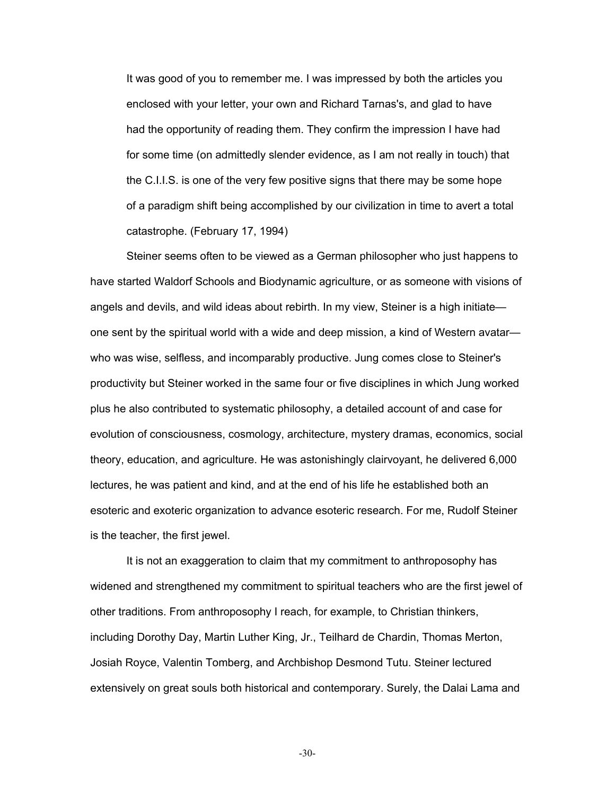It was good of you to remember me. I was impressed by both the articles you enclosed with your letter, your own and Richard Tarnas's, and glad to have had the opportunity of reading them. They confirm the impression I have had for some time (on admittedly slender evidence, as I am not really in touch) that the C.I.I.S. is one of the very few positive signs that there may be some hope of a paradigm shift being accomplished by our civilization in time to avert a total catastrophe. (February 17, 1994)

Steiner seems often to be viewed as a German philosopher who just happens to have started Waldorf Schools and Biodynamic agriculture, or as someone with visions of angels and devils, and wild ideas about rebirth. In my view, Steiner is a high initiate one sent by the spiritual world with a wide and deep mission, a kind of Western avatar who was wise, selfless, and incomparably productive. Jung comes close to Steiner's productivity but Steiner worked in the same four or five disciplines in which Jung worked plus he also contributed to systematic philosophy, a detailed account of and case for evolution of consciousness, cosmology, architecture, mystery dramas, economics, social theory, education, and agriculture. He was astonishingly clairvoyant, he delivered 6,000 lectures, he was patient and kind, and at the end of his life he established both an esoteric and exoteric organization to advance esoteric research. For me, Rudolf Steiner is the teacher, the first jewel.

It is not an exaggeration to claim that my commitment to anthroposophy has widened and strengthened my commitment to spiritual teachers who are the first jewel of other traditions. From anthroposophy I reach, for example, to Christian thinkers, including Dorothy Day, Martin Luther King, Jr., Teilhard de Chardin, Thomas Merton, Josiah Royce, Valentin Tomberg, and Archbishop Desmond Tutu. Steiner lectured extensively on great souls both historical and contemporary. Surely, the Dalai Lama and

-30-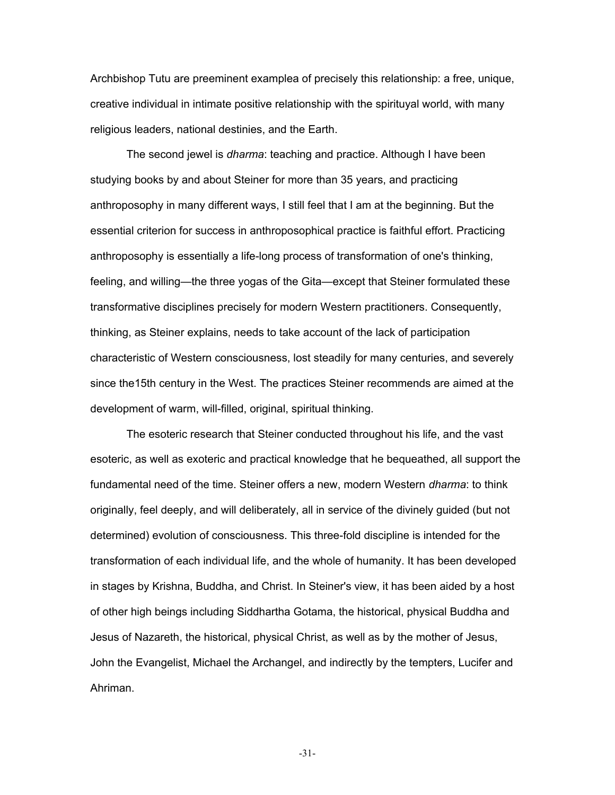Archbishop Tutu are preeminent examplea of precisely this relationship: a free, unique, creative individual in intimate positive relationship with the spirituyal world, with many religious leaders, national destinies, and the Earth.

The second jewel is *dharma*: teaching and practice. Although I have been studying books by and about Steiner for more than 35 years, and practicing anthroposophy in many different ways, I still feel that I am at the beginning. But the essential criterion for success in anthroposophical practice is faithful effort. Practicing anthroposophy is essentially a life-long process of transformation of one's thinking, feeling, and willing—the three yogas of the Gita—except that Steiner formulated these transformative disciplines precisely for modern Western practitioners. Consequently, thinking, as Steiner explains, needs to take account of the lack of participation characteristic of Western consciousness, lost steadily for many centuries, and severely since the15th century in the West. The practices Steiner recommends are aimed at the development of warm, will-filled, original, spiritual thinking.

The esoteric research that Steiner conducted throughout his life, and the vast esoteric, as well as exoteric and practical knowledge that he bequeathed, all support the fundamental need of the time. Steiner offers a new, modern Western *dharma*: to think originally, feel deeply, and will deliberately, all in service of the divinely guided (but not determined) evolution of consciousness. This three-fold discipline is intended for the transformation of each individual life, and the whole of humanity. It has been developed in stages by Krishna, Buddha, and Christ. In Steiner's view, it has been aided by a host of other high beings including Siddhartha Gotama, the historical, physical Buddha and Jesus of Nazareth, the historical, physical Christ, as well as by the mother of Jesus, John the Evangelist, Michael the Archangel, and indirectly by the tempters, Lucifer and Ahriman.

-31-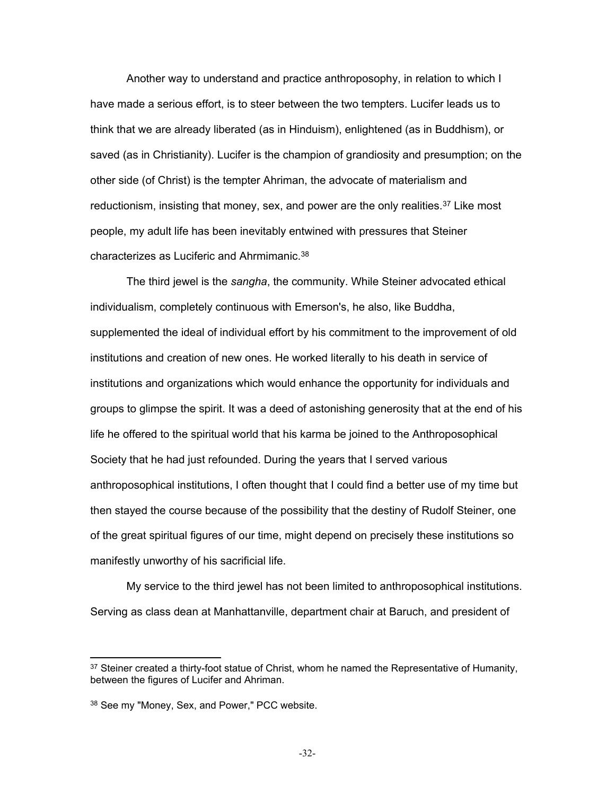Another way to understand and practice anthroposophy, in relation to which I have made a serious effort, is to steer between the two tempters. Lucifer leads us to think that we are already liberated (as in Hinduism), enlightened (as in Buddhism), or saved (as in Christianity). Lucifer is the champion of grandiosity and presumption; on the other side (of Christ) is the tempter Ahriman, the advocate of materialism and reductionism, insisting that money, sex, and power are the only realities.<sup>37</sup> Like most people, my adult life has been inevitably entwined with pressures that Steiner characterizes as Luciferic and Ahrmimanic.<sup>38</sup>

The third jewel is the *sangha*, the community. While Steiner advocated ethical individualism, completely continuous with Emerson's, he also, like Buddha, supplemented the ideal of individual effort by his commitment to the improvement of old institutions and creation of new ones. He worked literally to his death in service of institutions and organizations which would enhance the opportunity for individuals and groups to glimpse the spirit. It was a deed of astonishing generosity that at the end of his life he offered to the spiritual world that his karma be joined to the Anthroposophical Society that he had just refounded. During the years that I served various anthroposophical institutions, I often thought that I could find a better use of my time but then stayed the course because of the possibility that the destiny of Rudolf Steiner, one of the great spiritual figures of our time, might depend on precisely these institutions so manifestly unworthy of his sacrificial life.

My service to the third jewel has not been limited to anthroposophical institutions. Serving as class dean at Manhattanville, department chair at Baruch, and president of

<sup>&</sup>lt;sup>37</sup> Steiner created a thirty-foot statue of Christ, whom he named the Representative of Humanity, between the figures of Lucifer and Ahriman.

<sup>&</sup>lt;sup>38</sup> See my "Money, Sex, and Power," PCC website.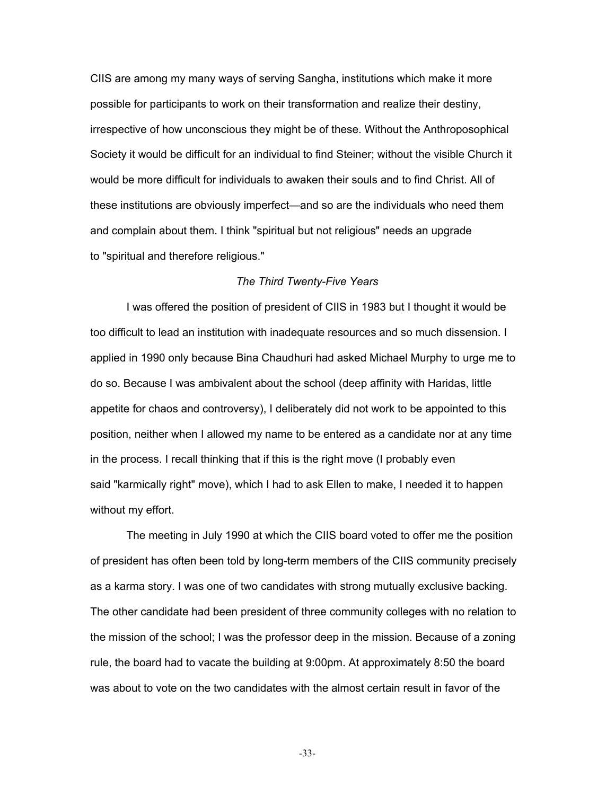CIIS are among my many ways of serving Sangha, institutions which make it more possible for participants to work on their transformation and realize their destiny, irrespective of how unconscious they might be of these. Without the Anthroposophical Society it would be difficult for an individual to find Steiner; without the visible Church it would be more difficult for individuals to awaken their souls and to find Christ. All of these institutions are obviously imperfect—and so are the individuals who need them and complain about them. I think "spiritual but not religious" needs an upgrade to "spiritual and therefore religious."

#### *The Third Twenty-Five Years*

I was offered the position of president of CIIS in 1983 but I thought it would be too difficult to lead an institution with inadequate resources and so much dissension. I applied in 1990 only because Bina Chaudhuri had asked Michael Murphy to urge me to do so. Because I was ambivalent about the school (deep affinity with Haridas, little appetite for chaos and controversy), I deliberately did not work to be appointed to this position, neither when I allowed my name to be entered as a candidate nor at any time in the process. I recall thinking that if this is the right move (I probably even said "karmically right" move), which I had to ask Ellen to make, I needed it to happen without my effort.

The meeting in July 1990 at which the CIIS board voted to offer me the position of president has often been told by long-term members of the CIIS community precisely as a karma story. I was one of two candidates with strong mutually exclusive backing. The other candidate had been president of three community colleges with no relation to the mission of the school; I was the professor deep in the mission. Because of a zoning rule, the board had to vacate the building at 9:00pm. At approximately 8:50 the board was about to vote on the two candidates with the almost certain result in favor of the

-33-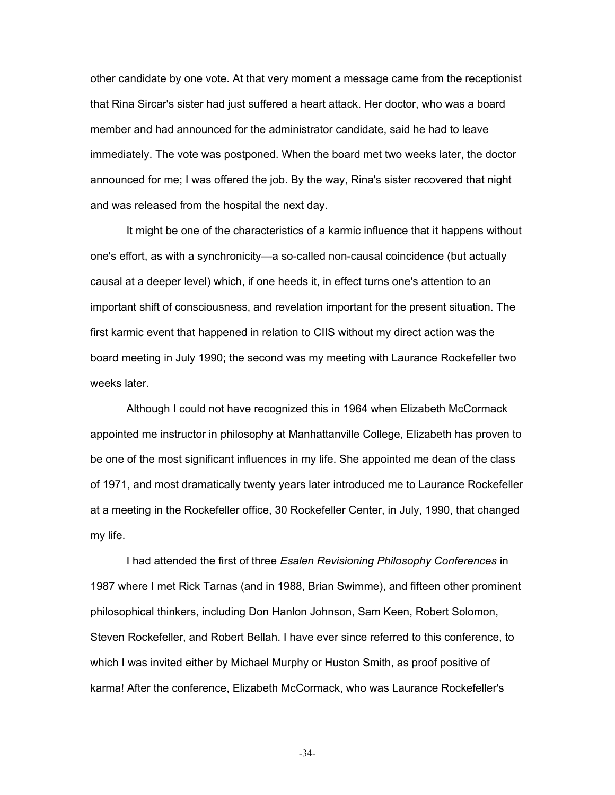other candidate by one vote. At that very moment a message came from the receptionist that Rina Sircar's sister had just suffered a heart attack. Her doctor, who was a board member and had announced for the administrator candidate, said he had to leave immediately. The vote was postponed. When the board met two weeks later, the doctor announced for me; I was offered the job. By the way, Rina's sister recovered that night and was released from the hospital the next day.

It might be one of the characteristics of a karmic influence that it happens without one's effort, as with a synchronicity—a so-called non-causal coincidence (but actually causal at a deeper level) which, if one heeds it, in effect turns one's attention to an important shift of consciousness, and revelation important for the present situation. The first karmic event that happened in relation to CIIS without my direct action was the board meeting in July 1990; the second was my meeting with Laurance Rockefeller two weeks later.

Although I could not have recognized this in 1964 when Elizabeth McCormack appointed me instructor in philosophy at Manhattanville College, Elizabeth has proven to be one of the most significant influences in my life. She appointed me dean of the class of 1971, and most dramatically twenty years later introduced me to Laurance Rockefeller at a meeting in the Rockefeller office, 30 Rockefeller Center, in July, 1990, that changed my life.

I had attended the first of three *Esalen Revisioning Philosophy Conferences* in 1987 where I met Rick Tarnas (and in 1988, Brian Swimme), and fifteen other prominent philosophical thinkers, including Don Hanlon Johnson, Sam Keen, Robert Solomon, Steven Rockefeller, and Robert Bellah. I have ever since referred to this conference, to which I was invited either by Michael Murphy or Huston Smith, as proof positive of karma! After the conference, Elizabeth McCormack, who was Laurance Rockefeller's

-34-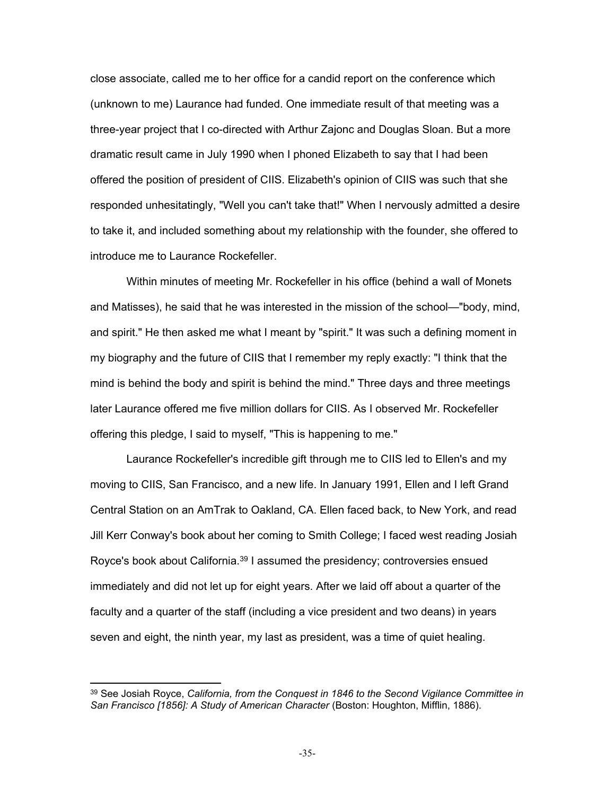close associate, called me to her office for a candid report on the conference which (unknown to me) Laurance had funded. One immediate result of that meeting was a three-year project that I co-directed with Arthur Zajonc and Douglas Sloan. But a more dramatic result came in July 1990 when I phoned Elizabeth to say that I had been offered the position of president of CIIS. Elizabeth's opinion of CIIS was such that she responded unhesitatingly, "Well you can't take that!" When I nervously admitted a desire to take it, and included something about my relationship with the founder, she offered to introduce me to Laurance Rockefeller.

Within minutes of meeting Mr. Rockefeller in his office (behind a wall of Monets and Matisses), he said that he was interested in the mission of the school—"body, mind, and spirit." He then asked me what I meant by "spirit." It was such a defining moment in my biography and the future of CIIS that I remember my reply exactly: "I think that the mind is behind the body and spirit is behind the mind." Three days and three meetings later Laurance offered me five million dollars for CIIS. As I observed Mr. Rockefeller offering this pledge, I said to myself, "This is happening to me."

Laurance Rockefeller's incredible gift through me to CIIS led to Ellen's and my moving to CIIS, San Francisco, and a new life. In January 1991, Ellen and I left Grand Central Station on an AmTrak to Oakland, CA. Ellen faced back, to New York, and read Jill Kerr Conway's book about her coming to Smith College; I faced west reading Josiah Royce's book about California.<sup>39</sup> I assumed the presidency; controversies ensued immediately and did not let up for eight years. After we laid off about a quarter of the faculty and a quarter of the staff (including a vice president and two deans) in years seven and eight, the ninth year, my last as president, was a time of quiet healing.

<sup>&</sup>lt;sup>39</sup> See Josiah Royce, *California, from the Conquest in 1846 to the Second Vigilance Committee in San Francisco [1856]: A Study of American Character* (Boston: Houghton, Mifflin, 1886).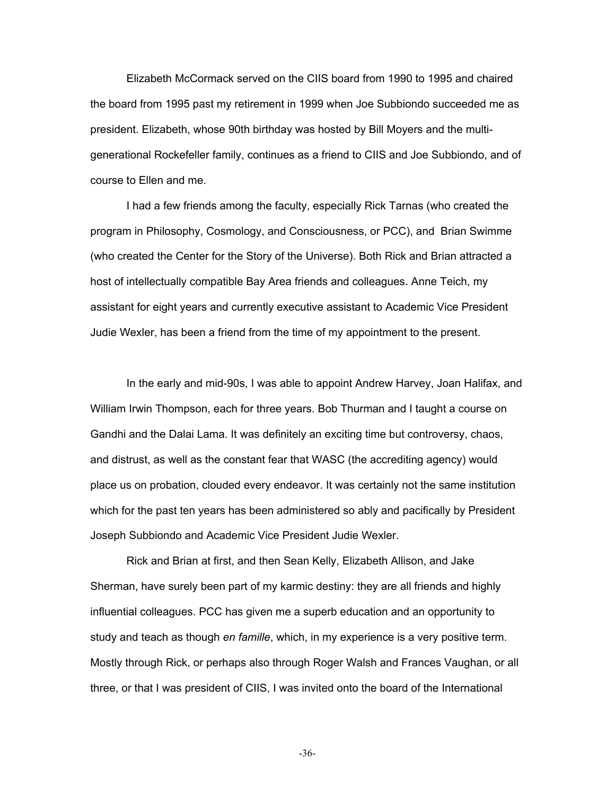Elizabeth McCormack served on the CIIS board from 1990 to 1995 and chaired the board from 1995 past my retirement in 1999 when Joe Subbiondo succeeded me as president. Elizabeth, whose 90th birthday was hosted by Bill Moyers and the multigenerational Rockefeller family, continues as a friend to CIIS and Joe Subbiondo, and of course to Ellen and me.

I had a few friends among the faculty, especially Rick Tarnas (who created the program in Philosophy, Cosmology, and Consciousness, or PCC), and Brian Swimme (who created the Center for the Story of the Universe). Both Rick and Brian attracted a host of intellectually compatible Bay Area friends and colleagues. Anne Teich, my assistant for eight years and currently executive assistant to Academic Vice President Judie Wexler, has been a friend from the time of my appointment to the present.

In the early and mid-90s, I was able to appoint Andrew Harvey, Joan Halifax, and William Irwin Thompson, each for three years. Bob Thurman and I taught a course on Gandhi and the Dalai Lama. It was definitely an exciting time but controversy, chaos, and distrust, as well as the constant fear that WASC (the accrediting agency) would place us on probation, clouded every endeavor. It was certainly not the same institution which for the past ten years has been administered so ably and pacifically by President Joseph Subbiondo and Academic Vice President Judie Wexler.

Rick and Brian at first, and then Sean Kelly, Elizabeth Allison, and Jake Sherman, have surely been part of my karmic destiny: they are all friends and highly influential colleagues. PCC has given me a superb education and an opportunity to study and teach as though *en famille*, which, in my experience is a very positive term. Mostly through Rick, or perhaps also through Roger Walsh and Frances Vaughan, or all three, or that I was president of CIIS, I was invited onto the board of the International

-36-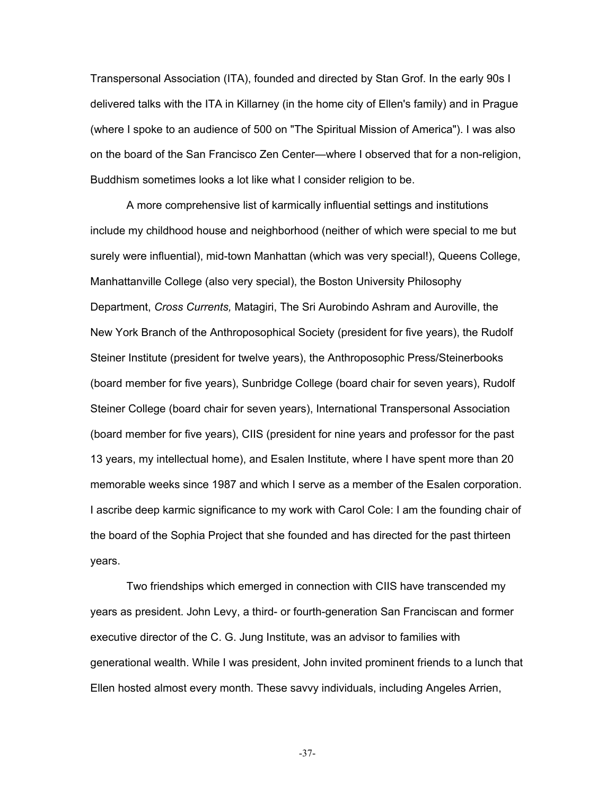Transpersonal Association (ITA), founded and directed by Stan Grof. In the early 90s I delivered talks with the ITA in Killarney (in the home city of Ellen's family) and in Prague (where I spoke to an audience of 500 on "The Spiritual Mission of America"). I was also on the board of the San Francisco Zen Center—where I observed that for a non-religion, Buddhism sometimes looks a lot like what I consider religion to be.

A more comprehensive list of karmically influential settings and institutions include my childhood house and neighborhood (neither of which were special to me but surely were influential), mid-town Manhattan (which was very special!), Queens College, Manhattanville College (also very special), the Boston University Philosophy Department, *Cross Currents,* Matagiri, The Sri Aurobindo Ashram and Auroville, the New York Branch of the Anthroposophical Society (president for five years), the Rudolf Steiner Institute (president for twelve years), the Anthroposophic Press/Steinerbooks (board member for five years), Sunbridge College (board chair for seven years), Rudolf Steiner College (board chair for seven years), International Transpersonal Association (board member for five years), CIIS (president for nine years and professor for the past 13 years, my intellectual home), and Esalen Institute, where I have spent more than 20 memorable weeks since 1987 and which I serve as a member of the Esalen corporation. I ascribe deep karmic significance to my work with Carol Cole: I am the founding chair of the board of the Sophia Project that she founded and has directed for the past thirteen years.

Two friendships which emerged in connection with CIIS have transcended my years as president. John Levy, a third- or fourth-generation San Franciscan and former executive director of the C. G. Jung Institute, was an advisor to families with generational wealth. While I was president, John invited prominent friends to a lunch that Ellen hosted almost every month. These savvy individuals, including Angeles Arrien,

-37-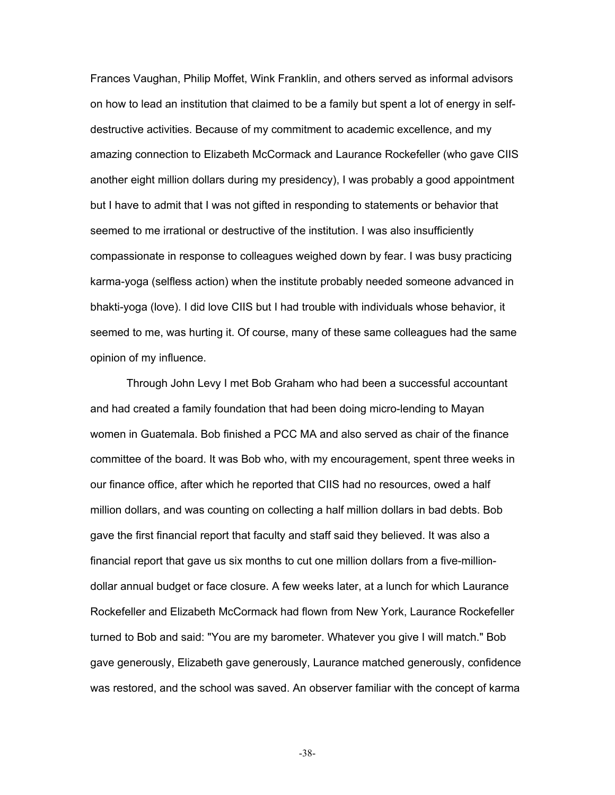Frances Vaughan, Philip Moffet, Wink Franklin, and others served as informal advisors on how to lead an institution that claimed to be a family but spent a lot of energy in selfdestructive activities. Because of my commitment to academic excellence, and my amazing connection to Elizabeth McCormack and Laurance Rockefeller (who gave CIIS another eight million dollars during my presidency), I was probably a good appointment but I have to admit that I was not gifted in responding to statements or behavior that seemed to me irrational or destructive of the institution. I was also insufficiently compassionate in response to colleagues weighed down by fear. I was busy practicing karma-yoga (selfless action) when the institute probably needed someone advanced in bhakti-yoga (love). I did love CIIS but I had trouble with individuals whose behavior, it seemed to me, was hurting it. Of course, many of these same colleagues had the same opinion of my influence.

Through John Levy I met Bob Graham who had been a successful accountant and had created a family foundation that had been doing micro-lending to Mayan women in Guatemala. Bob finished a PCC MA and also served as chair of the finance committee of the board. It was Bob who, with my encouragement, spent three weeks in our finance office, after which he reported that CIIS had no resources, owed a half million dollars, and was counting on collecting a half million dollars in bad debts. Bob gave the first financial report that faculty and staff said they believed. It was also a financial report that gave us six months to cut one million dollars from a five-milliondollar annual budget or face closure. A few weeks later, at a lunch for which Laurance Rockefeller and Elizabeth McCormack had flown from New York, Laurance Rockefeller turned to Bob and said: "You are my barometer. Whatever you give I will match." Bob gave generously, Elizabeth gave generously, Laurance matched generously, confidence was restored, and the school was saved. An observer familiar with the concept of karma

-38-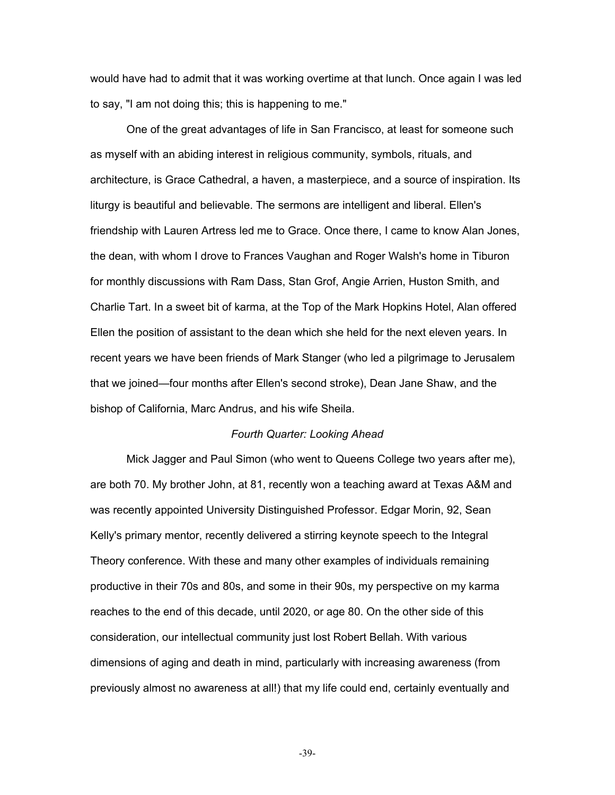would have had to admit that it was working overtime at that lunch. Once again I was led to say, "I am not doing this; this is happening to me."

One of the great advantages of life in San Francisco, at least for someone such as myself with an abiding interest in religious community, symbols, rituals, and architecture, is Grace Cathedral, a haven, a masterpiece, and a source of inspiration. Its liturgy is beautiful and believable. The sermons are intelligent and liberal. Ellen's friendship with Lauren Artress led me to Grace. Once there, I came to know Alan Jones, the dean, with whom I drove to Frances Vaughan and Roger Walsh's home in Tiburon for monthly discussions with Ram Dass, Stan Grof, Angie Arrien, Huston Smith, and Charlie Tart. In a sweet bit of karma, at the Top of the Mark Hopkins Hotel, Alan offered Ellen the position of assistant to the dean which she held for the next eleven years. In recent years we have been friends of Mark Stanger (who led a pilgrimage to Jerusalem that we joined—four months after Ellen's second stroke), Dean Jane Shaw, and the bishop of California, Marc Andrus, and his wife Sheila.

#### *Fourth Quarter: Looking Ahead*

Mick Jagger and Paul Simon (who went to Queens College two years after me), are both 70. My brother John, at 81, recently won a teaching award at Texas A&M and was recently appointed University Distinguished Professor. Edgar Morin, 92, Sean Kelly's primary mentor, recently delivered a stirring keynote speech to the Integral Theory conference. With these and many other examples of individuals remaining productive in their 70s and 80s, and some in their 90s, my perspective on my karma reaches to the end of this decade, until 2020, or age 80. On the other side of this consideration, our intellectual community just lost Robert Bellah. With various dimensions of aging and death in mind, particularly with increasing awareness (from previously almost no awareness at all!) that my life could end, certainly eventually and

-39-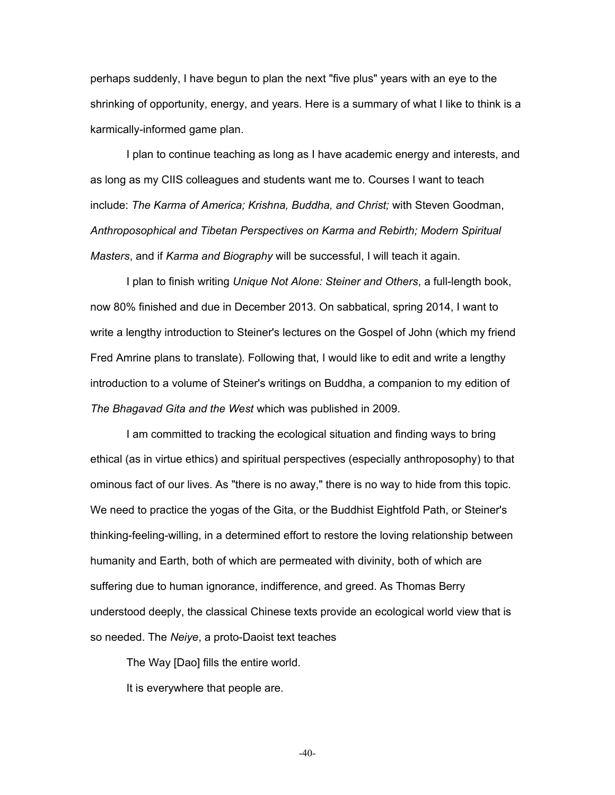perhaps suddenly, I have begun to plan the next "five plus" years with an eye to the shrinking of opportunity, energy, and years. Here is a summary of what I like to think is a karmically-informed game plan.

I plan to continue teaching as long as I have academic energy and interests, and as long as my CIIS colleagues and students want me to. Courses I want to teach include: *The Karma of America; Krishna, Buddha, and Christ;* with Steven Goodman, *Anthroposophical and Tibetan Perspectives on Karma and Rebirth; Modern Spiritual Masters*, and if *Karma and Biography* will be successful, I will teach it again.

I plan to finish writing *Unique Not Alone: Steiner and Others*, a full-length book, now 80% finished and due in December 2013. On sabbatical, spring 2014, I want to write a lengthy introduction to Steiner's lectures on the Gospel of John (which my friend Fred Amrine plans to translate). Following that, I would like to edit and write a lengthy introduction to a volume of Steiner's writings on Buddha, a companion to my edition of *The Bhagavad Gita and the West* which was published in 2009.

I am committed to tracking the ecological situation and finding ways to bring ethical (as in virtue ethics) and spiritual perspectives (especially anthroposophy) to that ominous fact of our lives. As "there is no away," there is no way to hide from this topic. We need to practice the yogas of the Gita, or the Buddhist Eightfold Path, or Steiner's thinking-feeling-willing, in a determined effort to restore the loving relationship between humanity and Earth, both of which are permeated with divinity, both of which are suffering due to human ignorance, indifference, and greed. As Thomas Berry understood deeply, the classical Chinese texts provide an ecological world view that is so needed. The *Neiye*, a proto-Daoist text teaches

The Way [Dao] fills the entire world.

It is everywhere that people are.

-40-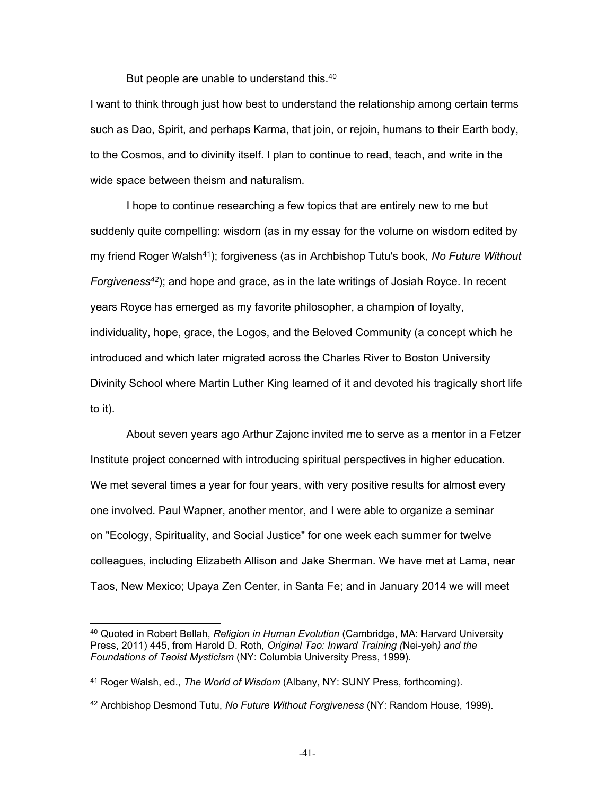But people are unable to understand this.<sup>40</sup>

I want to think through just how best to understand the relationship among certain terms such as Dao, Spirit, and perhaps Karma, that join, or rejoin, humans to their Earth body, to the Cosmos, and to divinity itself. I plan to continue to read, teach, and write in the wide space between theism and naturalism.

I hope to continue researching a few topics that are entirely new to me but suddenly quite compelling: wisdom (as in my essay for the volume on wisdom edited by my friend Roger Walsh<sup>41</sup> ); forgiveness (as in Archbishop Tutu's book, *No Future Without Forgiveness<sup>42</sup>* ); and hope and grace, as in the late writings of Josiah Royce. In recent years Royce has emerged as my favorite philosopher, a champion of loyalty, individuality, hope, grace, the Logos, and the Beloved Community (a concept which he introduced and which later migrated across the Charles River to Boston University Divinity School where Martin Luther King learned of it and devoted his tragically short life to it).

About seven years ago Arthur Zajonc invited me to serve as a mentor in a Fetzer Institute project concerned with introducing spiritual perspectives in higher education. We met several times a year for four years, with very positive results for almost every one involved. Paul Wapner, another mentor, and I were able to organize a seminar on "Ecology, Spirituality, and Social Justice" for one week each summer for twelve colleagues, including Elizabeth Allison and Jake Sherman. We have met at Lama, near Taos, New Mexico; Upaya Zen Center, in Santa Fe; and in January 2014 we will meet

<sup>40</sup> Quoted in Robert Bellah, *Religion in Human Evolution* (Cambridge, MA: Harvard University Press, 2011) 445, from Harold D. Roth, *Original Tao: Inward Training (*Nei-yeh*) and the Foundations of Taoist Mysticism* (NY: Columbia University Press, 1999).

<sup>41</sup> Roger Walsh, ed., *The World of Wisdom* (Albany, NY: SUNY Press, forthcoming).

<sup>42</sup> Archbishop Desmond Tutu, *No Future Without Forgiveness* (NY: Random House, 1999).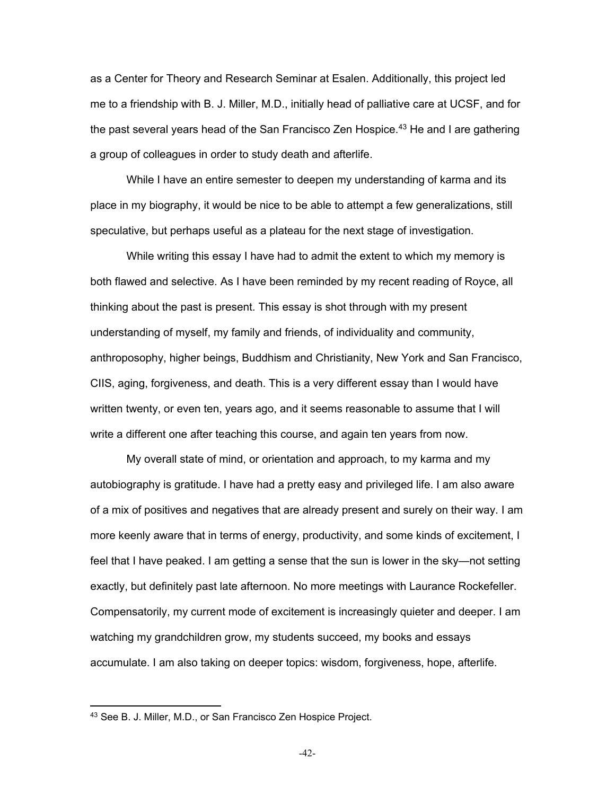as a Center for Theory and Research Seminar at Esalen. Additionally, this project led me to a friendship with B. J. Miller, M.D., initially head of palliative care at UCSF, and for the past several years head of the San Francisco Zen Hospice.<sup>43</sup> He and I are gathering a group of colleagues in order to study death and afterlife.

While I have an entire semester to deepen my understanding of karma and its place in my biography, it would be nice to be able to attempt a few generalizations, still speculative, but perhaps useful as a plateau for the next stage of investigation.

While writing this essay I have had to admit the extent to which my memory is both flawed and selective. As I have been reminded by my recent reading of Royce, all thinking about the past is present. This essay is shot through with my present understanding of myself, my family and friends, of individuality and community, anthroposophy, higher beings, Buddhism and Christianity, New York and San Francisco, CIIS, aging, forgiveness, and death. This is a very different essay than I would have written twenty, or even ten, years ago, and it seems reasonable to assume that I will write a different one after teaching this course, and again ten years from now.

My overall state of mind, or orientation and approach, to my karma and my autobiography is gratitude. I have had a pretty easy and privileged life. I am also aware of a mix of positives and negatives that are already present and surely on their way. I am more keenly aware that in terms of energy, productivity, and some kinds of excitement, I feel that I have peaked. I am getting a sense that the sun is lower in the sky—not setting exactly, but definitely past late afternoon. No more meetings with Laurance Rockefeller. Compensatorily, my current mode of excitement is increasingly quieter and deeper. I am watching my grandchildren grow, my students succeed, my books and essays accumulate. I am also taking on deeper topics: wisdom, forgiveness, hope, afterlife.

<sup>43</sup> See B. J. Miller, M.D., or San Francisco Zen Hospice Project.